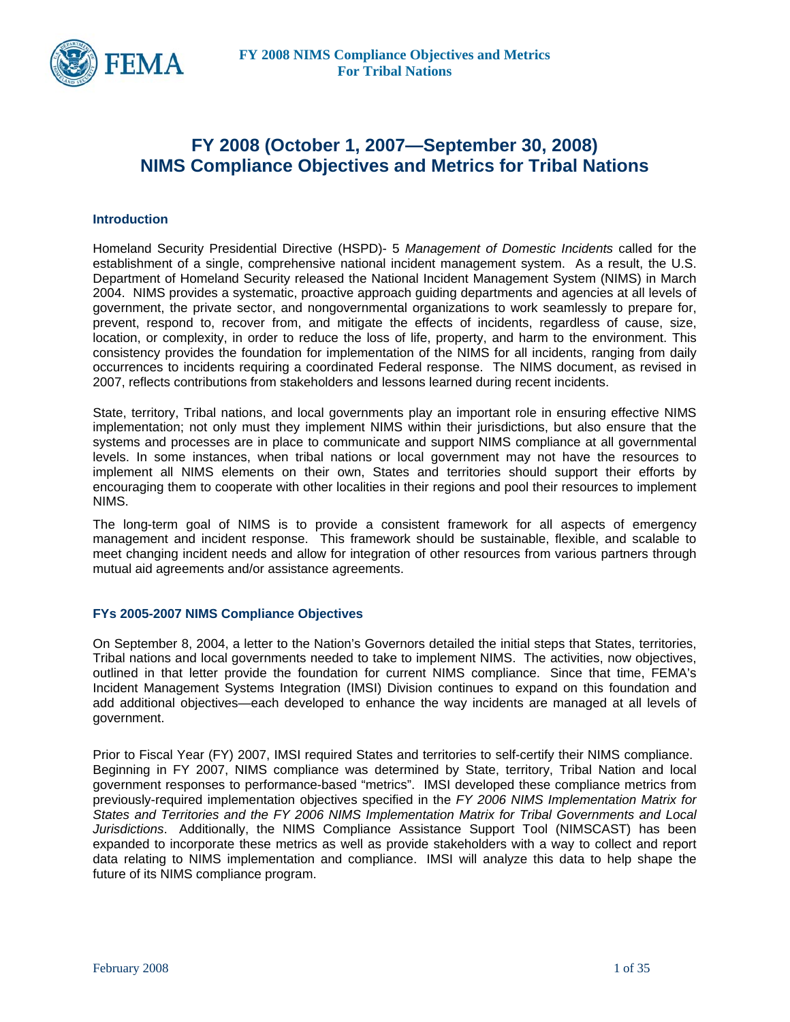

# **FY 2008 (October 1, 2007—September 30, 2008) NIMS Compliance Objectives and Metrics for Tribal Nations**

#### **Introduction**

Homeland Security Presidential Directive (HSPD)- 5 *Management of Domestic Incidents* called for the establishment of a single, comprehensive national incident management system. As a result, the U.S. Department of Homeland Security released the National Incident Management System (NIMS) in March 2004. NIMS provides a systematic, proactive approach guiding departments and agencies at all levels of government, the private sector, and nongovernmental organizations to work seamlessly to prepare for, prevent, respond to, recover from, and mitigate the effects of incidents, regardless of cause, size, location, or complexity, in order to reduce the loss of life, property, and harm to the environment. This consistency provides the foundation for implementation of the NIMS for all incidents, ranging from daily occurrences to incidents requiring a coordinated Federal response. The NIMS document, as revised in 2007, reflects contributions from stakeholders and lessons learned during recent incidents.

State, territory, Tribal nations, and local governments play an important role in ensuring effective NIMS implementation; not only must they implement NIMS within their jurisdictions, but also ensure that the systems and processes are in place to communicate and support NIMS compliance at all governmental levels. In some instances, when tribal nations or local government may not have the resources to implement all NIMS elements on their own, States and territories should support their efforts by encouraging them to cooperate with other localities in their regions and pool their resources to implement NIMS.

The long-term goal of NIMS is to provide a consistent framework for all aspects of emergency management and incident response. This framework should be sustainable, flexible, and scalable to meet changing incident needs and allow for integration of other resources from various partners through mutual aid agreements and/or assistance agreements.

#### **FYs 2005-2007 NIMS Compliance Objectives**

On September 8, 2004, a letter to the Nation's Governors detailed the initial steps that States, territories, Tribal nations and local governments needed to take to implement NIMS. The activities, now objectives, outlined in that letter provide the foundation for current NIMS compliance. Since that time, FEMA's Incident Management Systems Integration (IMSI) Division continues to expand on this foundation and add additional objectives—each developed to enhance the way incidents are managed at all levels of government.

Prior to Fiscal Year (FY) 2007, IMSI required States and territories to self-certify their NIMS compliance. Beginning in FY 2007, NIMS compliance was determined by State, territory, Tribal Nation and local government responses to performance-based "metrics". IMSI developed these compliance metrics from previously-required implementation objectives specified in the *FY 2006 NIMS Implementation Matrix for States and Territories and the FY 2006 NIMS Implementation Matrix for Tribal Governments and Local Jurisdictions*. Additionally, the NIMS Compliance Assistance Support Tool (NIMSCAST) has been expanded to incorporate these metrics as well as provide stakeholders with a way to collect and report data relating to NIMS implementation and compliance. IMSI will analyze this data to help shape the future of its NIMS compliance program.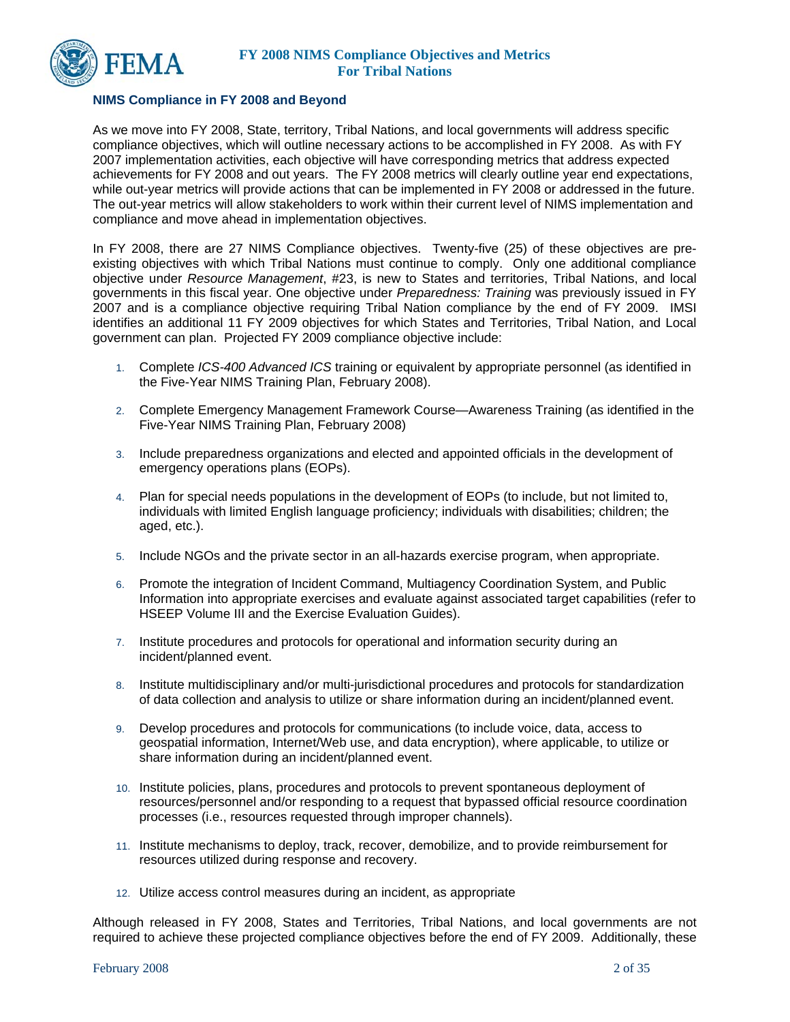

### **NIMS Compliance in FY 2008 and Beyond**

As we move into FY 2008, State, territory, Tribal Nations, and local governments will address specific compliance objectives, which will outline necessary actions to be accomplished in FY 2008. As with FY 2007 implementation activities, each objective will have corresponding metrics that address expected achievements for FY 2008 and out years. The FY 2008 metrics will clearly outline year end expectations, while out-year metrics will provide actions that can be implemented in FY 2008 or addressed in the future. The out-year metrics will allow stakeholders to work within their current level of NIMS implementation and compliance and move ahead in implementation objectives.

In FY 2008, there are 27 NIMS Compliance objectives. Twenty-five (25) of these objectives are preexisting objectives with which Tribal Nations must continue to comply. Only one additional compliance objective under *Resource Management*, #23, is new to States and territories, Tribal Nations, and local governments in this fiscal year. One objective under *Preparedness: Training* was previously issued in FY 2007 and is a compliance objective requiring Tribal Nation compliance by the end of FY 2009. IMSI identifies an additional 11 FY 2009 objectives for which States and Territories, Tribal Nation, and Local government can plan. Projected FY 2009 compliance objective include:

- 1. Complete *ICS-400 Advanced ICS* training or equivalent by appropriate personnel (as identified in the Five-Year NIMS Training Plan, February 2008).
- 2. Complete Emergency Management Framework Course—Awareness Training (as identified in the Five-Year NIMS Training Plan, February 2008)
- 3. Include preparedness organizations and elected and appointed officials in the development of emergency operations plans (EOPs).
- 4. Plan for special needs populations in the development of EOPs (to include, but not limited to, individuals with limited English language proficiency; individuals with disabilities; children; the aged, etc.).
- 5. Include NGOs and the private sector in an all-hazards exercise program, when appropriate.
- 6. Promote the integration of Incident Command, Multiagency Coordination System, and Public Information into appropriate exercises and evaluate against associated target capabilities (refer to HSEEP Volume III and the Exercise Evaluation Guides).
- 7. Institute procedures and protocols for operational and information security during an incident/planned event.
- 8. Institute multidisciplinary and/or multi-jurisdictional procedures and protocols for standardization of data collection and analysis to utilize or share information during an incident/planned event.
- 9. Develop procedures and protocols for communications (to include voice, data, access to geospatial information, Internet/Web use, and data encryption), where applicable, to utilize or share information during an incident/planned event.
- 10. Institute policies, plans, procedures and protocols to prevent spontaneous deployment of resources/personnel and/or responding to a request that bypassed official resource coordination processes (i.e., resources requested through improper channels).
- 11. Institute mechanisms to deploy, track, recover, demobilize, and to provide reimbursement for resources utilized during response and recovery.
- 12. Utilize access control measures during an incident, as appropriate

Although released in FY 2008, States and Territories, Tribal Nations, and local governments are not required to achieve these projected compliance objectives before the end of FY 2009. Additionally, these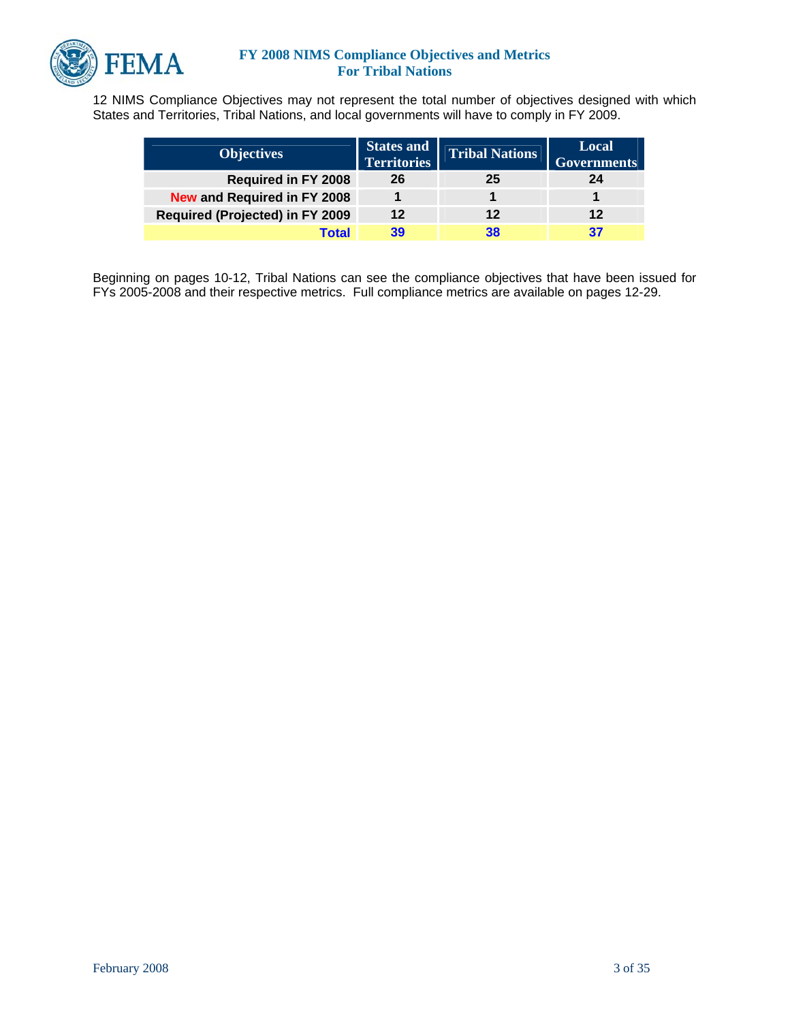

12 NIMS Compliance Objectives may not represent the total number of objectives designed with which States and Territories, Tribal Nations, and local governments will have to comply in FY 2009.

| <b>Objectives</b>                      | <b>States and</b><br><b>Territories</b> | <b>Tribal Nations</b> | Local<br><b>Governments</b> |
|----------------------------------------|-----------------------------------------|-----------------------|-----------------------------|
| <b>Required in FY 2008</b>             | 26                                      | 25                    | 24                          |
| <b>New and Required in FY 2008</b>     |                                         |                       |                             |
| <b>Required (Projected) in FY 2009</b> | 12                                      | 12                    | 12                          |
| Total                                  | 39                                      | 38                    | 37                          |

Beginning on pages 10-12, Tribal Nations can see the compliance objectives that have been issued for FYs 2005-2008 and their respective metrics. Full compliance metrics are available on pages 12-29.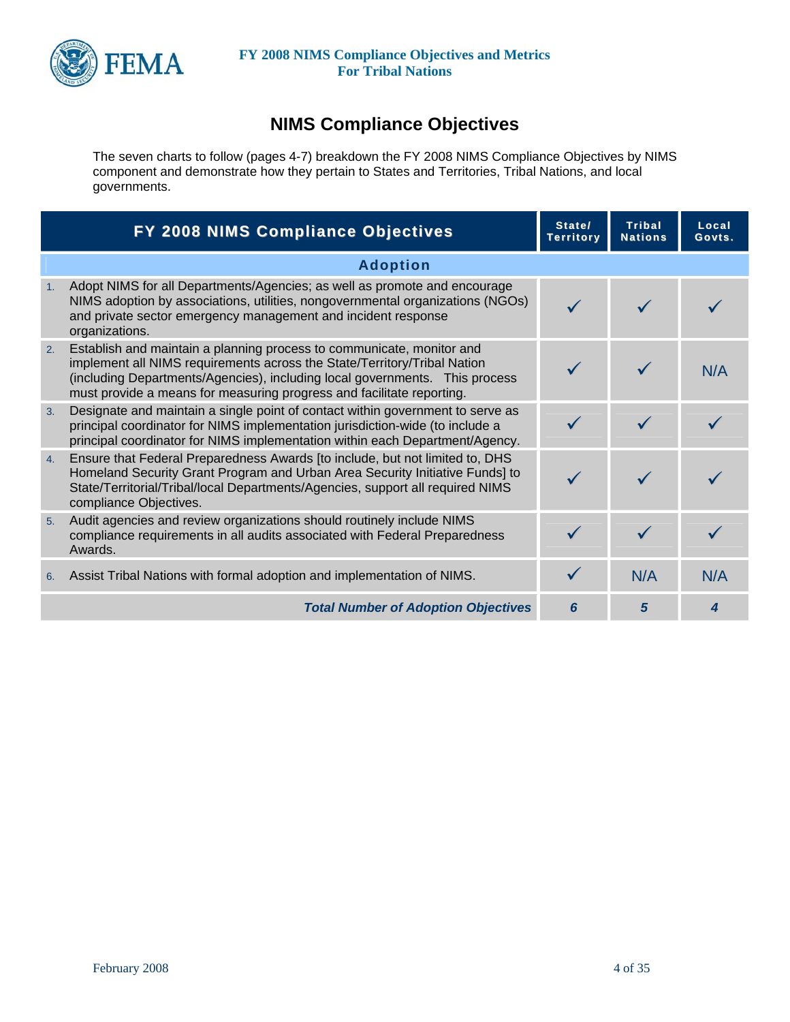

# **NIMS Compliance Objectives**

The seven charts to follow (pages 4-7) breakdown the FY 2008 NIMS Compliance Objectives by NIMS component and demonstrate how they pertain to States and Territories, Tribal Nations, and local governments.

|    | FY 2008 NIMS Compliance Objectives                                                                                                                                                                                                                                                                        | State/<br><b>Territory</b> | <b>Tribal</b><br><b>Nations</b> | Local<br>Govts. |
|----|-----------------------------------------------------------------------------------------------------------------------------------------------------------------------------------------------------------------------------------------------------------------------------------------------------------|----------------------------|---------------------------------|-----------------|
|    | <b>Adoption</b>                                                                                                                                                                                                                                                                                           |                            |                                 |                 |
| 1. | Adopt NIMS for all Departments/Agencies; as well as promote and encourage<br>NIMS adoption by associations, utilities, nongovernmental organizations (NGOs)<br>and private sector emergency management and incident response<br>organizations.                                                            |                            |                                 |                 |
| 2. | Establish and maintain a planning process to communicate, monitor and<br>implement all NIMS requirements across the State/Territory/Tribal Nation<br>(including Departments/Agencies), including local governments. This process<br>must provide a means for measuring progress and facilitate reporting. |                            |                                 | N/A             |
| 3. | Designate and maintain a single point of contact within government to serve as<br>principal coordinator for NIMS implementation jurisdiction-wide (to include a<br>principal coordinator for NIMS implementation within each Department/Agency.                                                           |                            |                                 |                 |
| 4. | Ensure that Federal Preparedness Awards [to include, but not limited to, DHS<br>Homeland Security Grant Program and Urban Area Security Initiative Funds] to<br>State/Territorial/Tribal/local Departments/Agencies, support all required NIMS<br>compliance Objectives.                                  |                            |                                 |                 |
| 5. | Audit agencies and review organizations should routinely include NIMS<br>compliance requirements in all audits associated with Federal Preparedness<br>Awards.                                                                                                                                            |                            |                                 |                 |
| 6. | Assist Tribal Nations with formal adoption and implementation of NIMS.                                                                                                                                                                                                                                    |                            | N/A                             | N/A             |
|    | <b>Total Number of Adoption Objectives</b>                                                                                                                                                                                                                                                                | 6                          | 5                               |                 |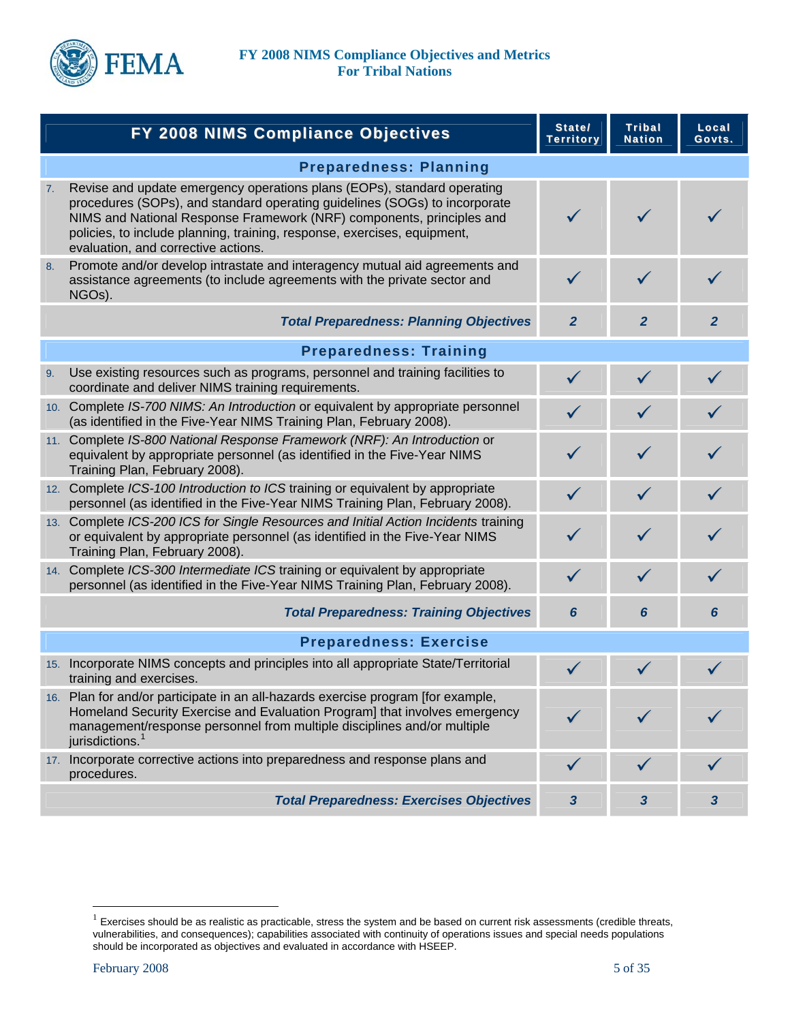

|    | FY 2008 NIMS Compliance Objectives                                                                                                                                                                                                                                                                                                                | State/<br><b>Territory</b> | <b>Tribal</b><br><b>Nation</b> | Local<br>Govts. |
|----|---------------------------------------------------------------------------------------------------------------------------------------------------------------------------------------------------------------------------------------------------------------------------------------------------------------------------------------------------|----------------------------|--------------------------------|-----------------|
|    | <b>Preparedness: Planning</b>                                                                                                                                                                                                                                                                                                                     |                            |                                |                 |
| 7. | Revise and update emergency operations plans (EOPs), standard operating<br>procedures (SOPs), and standard operating guidelines (SOGs) to incorporate<br>NIMS and National Response Framework (NRF) components, principles and<br>policies, to include planning, training, response, exercises, equipment,<br>evaluation, and corrective actions. | ✓                          | $\checkmark$                   |                 |
| 8. | Promote and/or develop intrastate and interagency mutual aid agreements and<br>assistance agreements (to include agreements with the private sector and<br>NGOs).                                                                                                                                                                                 | $\checkmark$               |                                |                 |
|    | <b>Total Preparedness: Planning Objectives</b>                                                                                                                                                                                                                                                                                                    | $\mathbf{2}$               | $\overline{2}$                 | $\overline{2}$  |
|    | <b>Preparedness: Training</b>                                                                                                                                                                                                                                                                                                                     |                            |                                |                 |
| 9. | Use existing resources such as programs, personnel and training facilities to<br>coordinate and deliver NIMS training requirements.                                                                                                                                                                                                               | $\checkmark$               | $\checkmark$                   | $\checkmark$    |
|    | 10. Complete IS-700 NIMS: An Introduction or equivalent by appropriate personnel<br>(as identified in the Five-Year NIMS Training Plan, February 2008).                                                                                                                                                                                           |                            |                                |                 |
|    | 11. Complete IS-800 National Response Framework (NRF): An Introduction or<br>equivalent by appropriate personnel (as identified in the Five-Year NIMS<br>Training Plan, February 2008).                                                                                                                                                           | ✓                          | ✓                              |                 |
|    | 12. Complete ICS-100 Introduction to ICS training or equivalent by appropriate<br>personnel (as identified in the Five-Year NIMS Training Plan, February 2008).                                                                                                                                                                                   | $\checkmark$               | $\checkmark$                   |                 |
|    | 13. Complete ICS-200 ICS for Single Resources and Initial Action Incidents training<br>or equivalent by appropriate personnel (as identified in the Five-Year NIMS<br>Training Plan, February 2008).                                                                                                                                              |                            |                                |                 |
|    | 14. Complete ICS-300 Intermediate ICS training or equivalent by appropriate<br>personnel (as identified in the Five-Year NIMS Training Plan, February 2008).                                                                                                                                                                                      | $\checkmark$               | $\checkmark$                   |                 |
|    | <b>Total Preparedness: Training Objectives</b>                                                                                                                                                                                                                                                                                                    | 6                          | 6                              | 6               |
|    | <b>Preparedness: Exercise</b>                                                                                                                                                                                                                                                                                                                     |                            |                                |                 |
|    | 15. Incorporate NIMS concepts and principles into all appropriate State/Territorial<br>training and exercises.                                                                                                                                                                                                                                    |                            |                                |                 |
|    | 16. Plan for and/or participate in an all-hazards exercise program [for example,<br>Homeland Security Exercise and Evaluation Program] that involves emergency<br>management/response personnel from multiple disciplines and/or multiple<br>jurisdictions. <sup>1</sup>                                                                          |                            |                                |                 |
|    | 17. Incorporate corrective actions into preparedness and response plans and<br>procedures.                                                                                                                                                                                                                                                        |                            |                                |                 |
|    | <b>Total Preparedness: Exercises Objectives</b>                                                                                                                                                                                                                                                                                                   | 3                          | $\mathbf{3}$                   | 3               |

 $\overline{a}$ 

<span id="page-4-0"></span> $1$  Exercises should be as realistic as practicable, stress the system and be based on current risk assessments (credible threats, vulnerabilities, and consequences); capabilities associated with continuity of operations issues and special needs populations should be incorporated as objectives and evaluated in accordance with HSEEP.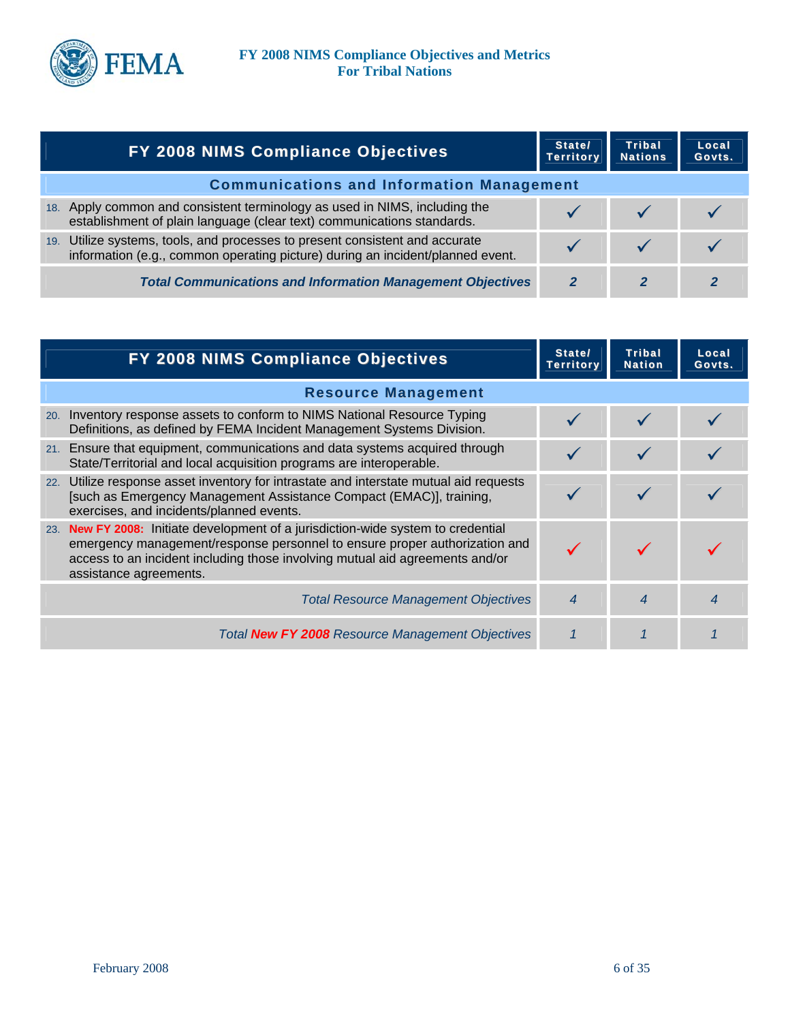

|     | <b>FY 2008 NIMS Compliance Objectives</b>                                                                                                                  | State/<br><b>Territory</b> | <b>Tribal</b><br><b>Nations</b> | Local<br>Govts. |
|-----|------------------------------------------------------------------------------------------------------------------------------------------------------------|----------------------------|---------------------------------|-----------------|
|     | <b>Communications and Information Management</b>                                                                                                           |                            |                                 |                 |
| 18. | Apply common and consistent terminology as used in NIMS, including the<br>establishment of plain language (clear text) communications standards.           |                            |                                 |                 |
| 19. | Utilize systems, tools, and processes to present consistent and accurate<br>information (e.g., common operating picture) during an incident/planned event. |                            |                                 |                 |
|     | <b>Total Communications and Information Management Objectives</b>                                                                                          |                            |                                 |                 |

|     | FY 2008 NIMS Compliance Objectives                                                                                                                                                                                                                                    | State/<br>Territory | <b>Tribal</b><br><b>Nation</b> | Local<br>Govts. |
|-----|-----------------------------------------------------------------------------------------------------------------------------------------------------------------------------------------------------------------------------------------------------------------------|---------------------|--------------------------------|-----------------|
|     | <b>Resource Management</b>                                                                                                                                                                                                                                            |                     |                                |                 |
| 20. | Inventory response assets to conform to NIMS National Resource Typing<br>Definitions, as defined by FEMA Incident Management Systems Division.                                                                                                                        |                     |                                |                 |
|     | 21. Ensure that equipment, communications and data systems acquired through<br>State/Territorial and local acquisition programs are interoperable.                                                                                                                    |                     |                                |                 |
|     | 22. Utilize response asset inventory for intrastate and interstate mutual aid requests<br>[such as Emergency Management Assistance Compact (EMAC)], training,<br>exercises, and incidents/planned events.                                                             |                     |                                |                 |
| 23. | New FY 2008: Initiate development of a jurisdiction-wide system to credential<br>emergency management/response personnel to ensure proper authorization and<br>access to an incident including those involving mutual aid agreements and/or<br>assistance agreements. |                     |                                |                 |
|     | <b>Total Resource Management Objectives</b>                                                                                                                                                                                                                           | 4                   | 4                              |                 |
|     | Total New FY 2008 Resource Management Objectives                                                                                                                                                                                                                      |                     |                                |                 |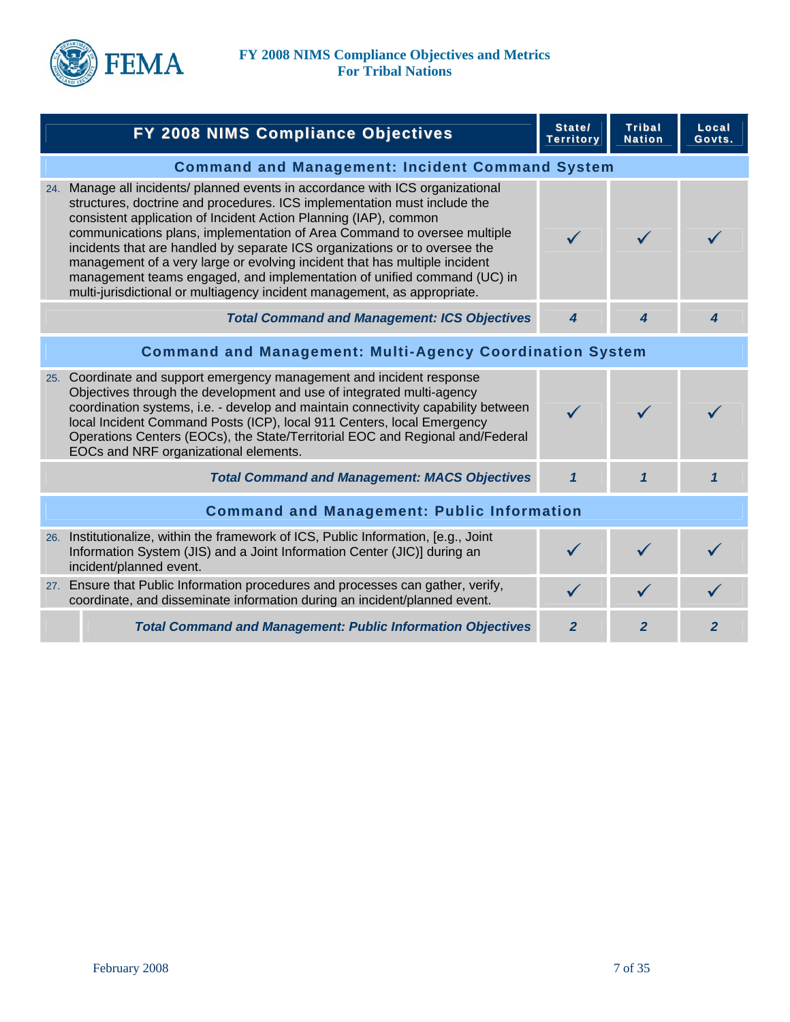

| FY 2008 NIMS Compliance Objectives                                                                                                                                                                                                                                                                                                                                                                                                                                                                                                                                                                                            | State/<br><b>Territory</b> | <b>Tribal</b><br><b>Nation</b> | Local<br>Govts. |
|-------------------------------------------------------------------------------------------------------------------------------------------------------------------------------------------------------------------------------------------------------------------------------------------------------------------------------------------------------------------------------------------------------------------------------------------------------------------------------------------------------------------------------------------------------------------------------------------------------------------------------|----------------------------|--------------------------------|-----------------|
| <b>Command and Management: Incident Command System</b>                                                                                                                                                                                                                                                                                                                                                                                                                                                                                                                                                                        |                            |                                |                 |
| 24. Manage all incidents/ planned events in accordance with ICS organizational<br>structures, doctrine and procedures. ICS implementation must include the<br>consistent application of Incident Action Planning (IAP), common<br>communications plans, implementation of Area Command to oversee multiple<br>incidents that are handled by separate ICS organizations or to oversee the<br>management of a very large or evolving incident that has multiple incident<br>management teams engaged, and implementation of unified command (UC) in<br>multi-jurisdictional or multiagency incident management, as appropriate. |                            |                                |                 |
| <b>Total Command and Management: ICS Objectives</b>                                                                                                                                                                                                                                                                                                                                                                                                                                                                                                                                                                           | $\boldsymbol{4}$           | 4                              | 4               |
| <b>Command and Management: Multi-Agency Coordination System</b>                                                                                                                                                                                                                                                                                                                                                                                                                                                                                                                                                               |                            |                                |                 |
| 25. Coordinate and support emergency management and incident response<br>Objectives through the development and use of integrated multi-agency<br>coordination systems, i.e. - develop and maintain connectivity capability between<br>local Incident Command Posts (ICP), local 911 Centers, local Emergency<br>Operations Centers (EOCs), the State/Territorial EOC and Regional and/Federal<br>EOCs and NRF organizational elements.                                                                                                                                                                                       | $\checkmark$               |                                |                 |
| <b>Total Command and Management: MACS Objectives</b>                                                                                                                                                                                                                                                                                                                                                                                                                                                                                                                                                                          | $\mathbf{1}$               | $\mathbf{1}$                   | 1               |
| <b>Command and Management: Public Information</b>                                                                                                                                                                                                                                                                                                                                                                                                                                                                                                                                                                             |                            |                                |                 |
| 26. Institutionalize, within the framework of ICS, Public Information, [e.g., Joint]<br>Information System (JIS) and a Joint Information Center (JIC)] during an<br>incident/planned event.                                                                                                                                                                                                                                                                                                                                                                                                                                   | $\checkmark$               |                                |                 |
| 27. Ensure that Public Information procedures and processes can gather, verify,<br>coordinate, and disseminate information during an incident/planned event.                                                                                                                                                                                                                                                                                                                                                                                                                                                                  | $\checkmark$               |                                |                 |
| <b>Total Command and Management: Public Information Objectives</b>                                                                                                                                                                                                                                                                                                                                                                                                                                                                                                                                                            | $\overline{2}$             | $\overline{2}$                 | $\overline{2}$  |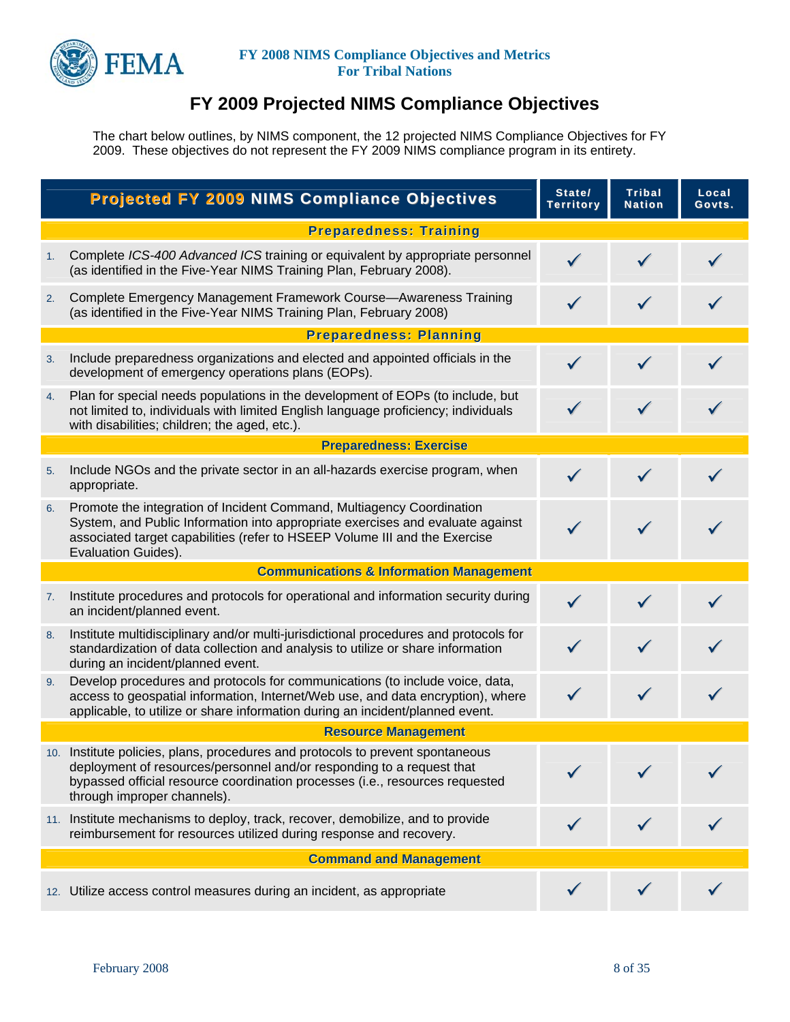

# **FY 2009 Projected NIMS Compliance Objectives**

The chart below outlines, by NIMS component, the 12 projected NIMS Compliance Objectives for FY 2009. These objectives do not represent the FY 2009 NIMS compliance program in its entirety.

|    | <b>Projected FY 2009 NIMS Compliance Objectives</b>                                                                                                                                                                                                                    | State/<br><b>Territory</b> | <b>Tribal</b><br><b>Nation</b> | Local<br>Govts. |
|----|------------------------------------------------------------------------------------------------------------------------------------------------------------------------------------------------------------------------------------------------------------------------|----------------------------|--------------------------------|-----------------|
|    | <b>Preparedness: Training</b>                                                                                                                                                                                                                                          |                            |                                |                 |
| 1. | Complete ICS-400 Advanced ICS training or equivalent by appropriate personnel<br>(as identified in the Five-Year NIMS Training Plan, February 2008).                                                                                                                   | $\checkmark$               |                                |                 |
| 2. | Complete Emergency Management Framework Course-Awareness Training<br>(as identified in the Five-Year NIMS Training Plan, February 2008)                                                                                                                                | $\checkmark$               | $\checkmark$                   |                 |
|    | <b>Preparedness: Planning</b>                                                                                                                                                                                                                                          |                            |                                |                 |
| 3. | Include preparedness organizations and elected and appointed officials in the<br>development of emergency operations plans (EOPs).                                                                                                                                     | $\checkmark$               |                                |                 |
| 4. | Plan for special needs populations in the development of EOPs (to include, but<br>not limited to, individuals with limited English language proficiency; individuals<br>with disabilities; children; the aged, etc.).                                                  |                            |                                |                 |
|    | <b>Preparedness: Exercise</b>                                                                                                                                                                                                                                          |                            |                                |                 |
| 5. | Include NGOs and the private sector in an all-hazards exercise program, when<br>appropriate.                                                                                                                                                                           | $\checkmark$               |                                |                 |
| 6. | Promote the integration of Incident Command, Multiagency Coordination<br>System, and Public Information into appropriate exercises and evaluate against<br>associated target capabilities (refer to HSEEP Volume III and the Exercise<br>Evaluation Guides).           | $\checkmark$               |                                |                 |
|    | <b>Communications &amp; Information Management</b>                                                                                                                                                                                                                     |                            |                                |                 |
| 7. | Institute procedures and protocols for operational and information security during<br>an incident/planned event.                                                                                                                                                       |                            |                                |                 |
| 8. | Institute multidisciplinary and/or multi-jurisdictional procedures and protocols for<br>standardization of data collection and analysis to utilize or share information<br>during an incident/planned event.                                                           |                            |                                |                 |
| 9. | Develop procedures and protocols for communications (to include voice, data,<br>access to geospatial information, Internet/Web use, and data encryption), where<br>applicable, to utilize or share information during an incident/planned event.                       |                            | $\checkmark$                   |                 |
|    | <b>Resource Management</b>                                                                                                                                                                                                                                             |                            |                                |                 |
|    | 10. Institute policies, plans, procedures and protocols to prevent spontaneous<br>deployment of resources/personnel and/or responding to a request that<br>bypassed official resource coordination processes (i.e., resources requested<br>through improper channels). |                            |                                |                 |
|    | 11. Institute mechanisms to deploy, track, recover, demobilize, and to provide<br>reimbursement for resources utilized during response and recovery.                                                                                                                   |                            |                                |                 |
|    | <b>Command and Management</b>                                                                                                                                                                                                                                          |                            |                                |                 |
|    | 12. Utilize access control measures during an incident, as appropriate                                                                                                                                                                                                 |                            |                                |                 |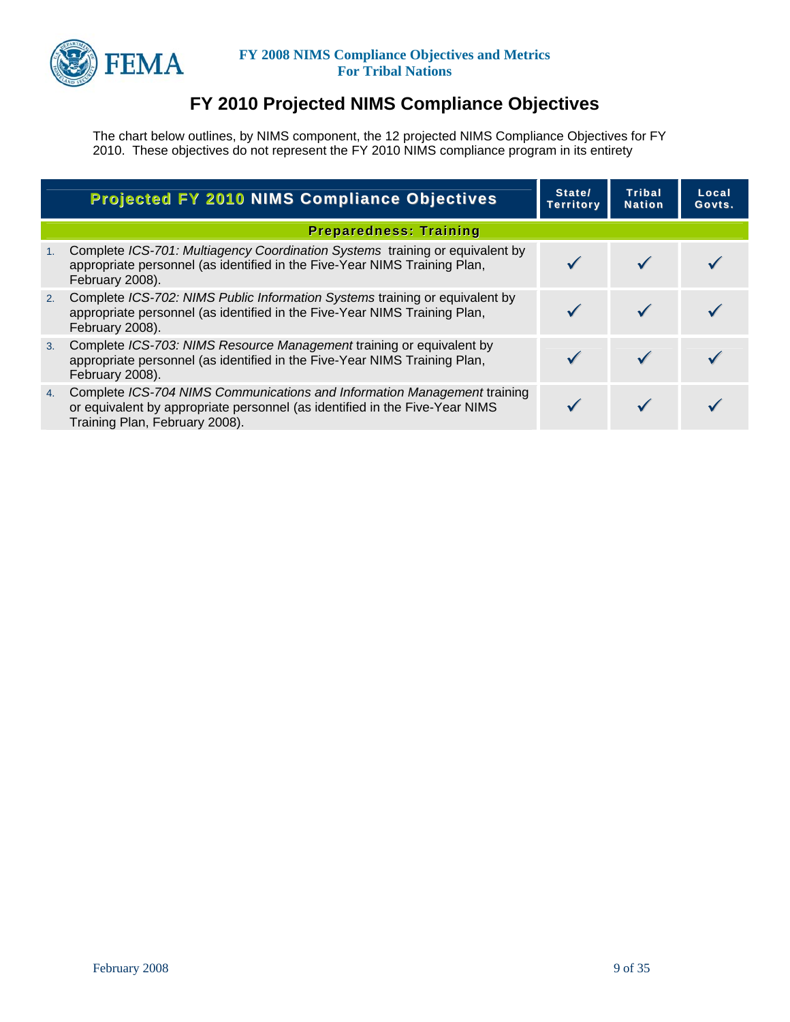

# **FY 2010 Projected NIMS Compliance Objectives**

The chart below outlines, by NIMS component, the 12 projected NIMS Compliance Objectives for FY 2010. These objectives do not represent the FY 2010 NIMS compliance program in its entirety

|    | <b>Projected FY 2010 NIMS Compliance Objectives</b>                                                                                                                                       | State/<br><b>Territory</b> | Tribal<br><b>Nation</b> | Local<br>Govts. |
|----|-------------------------------------------------------------------------------------------------------------------------------------------------------------------------------------------|----------------------------|-------------------------|-----------------|
|    | <b>Preparedness: Training</b>                                                                                                                                                             |                            |                         |                 |
| 1. | Complete ICS-701: Multiagency Coordination Systems training or equivalent by<br>appropriate personnel (as identified in the Five-Year NIMS Training Plan,<br>February 2008).              |                            |                         |                 |
| 2. | Complete ICS-702: NIMS Public Information Systems training or equivalent by<br>appropriate personnel (as identified in the Five-Year NIMS Training Plan,<br>February 2008).               |                            |                         |                 |
| 3. | Complete ICS-703: NIMS Resource Management training or equivalent by<br>appropriate personnel (as identified in the Five-Year NIMS Training Plan,<br>February 2008).                      |                            |                         |                 |
| 4. | Complete ICS-704 NIMS Communications and Information Management training<br>or equivalent by appropriate personnel (as identified in the Five-Year NIMS<br>Training Plan, February 2008). |                            |                         |                 |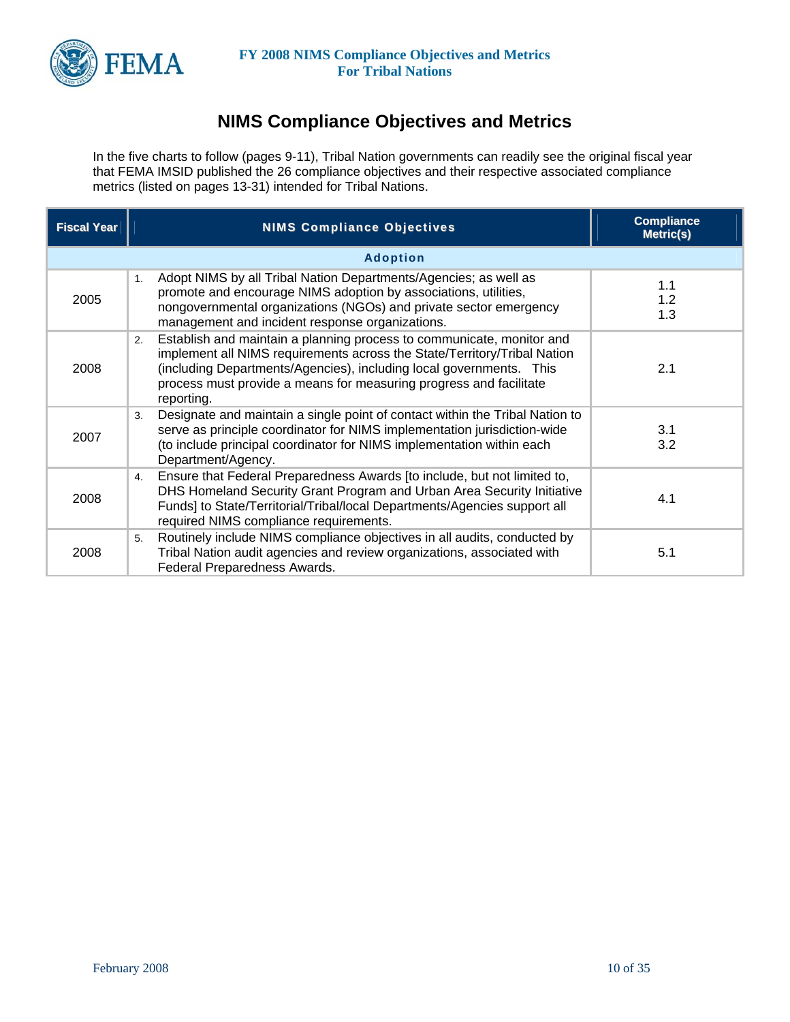

# **NIMS Compliance Objectives and Metrics**

In the five charts to follow (pages 9-11), Tribal Nation governments can readily see the original fiscal year that FEMA IMSID published the 26 compliance objectives and their respective associated compliance metrics (listed on pages 13-31) intended for Tribal Nations.

| <b>Fiscal Year</b> | <b>NIMS Compliance Objectives</b>                                                                                                                                                                                                                                                                                  | <b>Compliance</b><br>Metric(s) |
|--------------------|--------------------------------------------------------------------------------------------------------------------------------------------------------------------------------------------------------------------------------------------------------------------------------------------------------------------|--------------------------------|
|                    | <b>Adoption</b>                                                                                                                                                                                                                                                                                                    |                                |
| 2005               | Adopt NIMS by all Tribal Nation Departments/Agencies; as well as<br>1.<br>promote and encourage NIMS adoption by associations, utilities,<br>nongovernmental organizations (NGOs) and private sector emergency<br>management and incident response organizations.                                                  | 1.1<br>1.2<br>1.3              |
| 2008               | Establish and maintain a planning process to communicate, monitor and<br>2.<br>implement all NIMS requirements across the State/Territory/Tribal Nation<br>(including Departments/Agencies), including local governments. This<br>process must provide a means for measuring progress and facilitate<br>reporting. | 2.1                            |
| 2007               | Designate and maintain a single point of contact within the Tribal Nation to<br>3.<br>serve as principle coordinator for NIMS implementation jurisdiction-wide<br>(to include principal coordinator for NIMS implementation within each<br>Department/Agency.                                                      | 3.1<br>3.2                     |
| 2008               | Ensure that Federal Preparedness Awards [to include, but not limited to,<br>4.<br>DHS Homeland Security Grant Program and Urban Area Security Initiative<br>Funds] to State/Territorial/Tribal/local Departments/Agencies support all<br>required NIMS compliance requirements.                                    | 4.1                            |
| 2008               | Routinely include NIMS compliance objectives in all audits, conducted by<br>5.<br>Tribal Nation audit agencies and review organizations, associated with<br>Federal Preparedness Awards.                                                                                                                           | 5.1                            |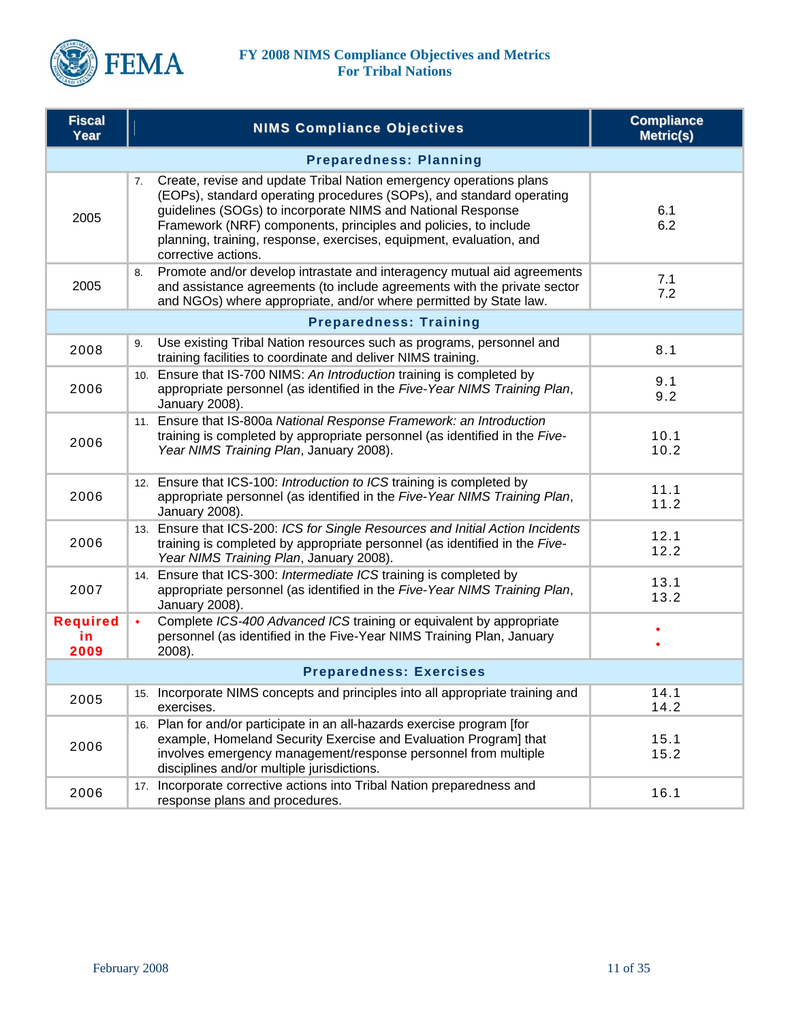

| <b>Fiscal</b><br>Year         | <b>NIMS Compliance Objectives</b>                                                                                                                                                                                                                                                                                                                                                | <b>Compliance</b><br><b>Metric(s)</b> |  |  |  |
|-------------------------------|----------------------------------------------------------------------------------------------------------------------------------------------------------------------------------------------------------------------------------------------------------------------------------------------------------------------------------------------------------------------------------|---------------------------------------|--|--|--|
|                               | <b>Preparedness: Planning</b>                                                                                                                                                                                                                                                                                                                                                    |                                       |  |  |  |
| 2005                          | Create, revise and update Tribal Nation emergency operations plans<br>7.<br>(EOPs), standard operating procedures (SOPs), and standard operating<br>guidelines (SOGs) to incorporate NIMS and National Response<br>Framework (NRF) components, principles and policies, to include<br>planning, training, response, exercises, equipment, evaluation, and<br>corrective actions. | 6.1<br>6.2                            |  |  |  |
| 2005                          | Promote and/or develop intrastate and interagency mutual aid agreements<br>8.<br>and assistance agreements (to include agreements with the private sector<br>and NGOs) where appropriate, and/or where permitted by State law.                                                                                                                                                   | 7.1<br>7.2                            |  |  |  |
|                               | <b>Preparedness: Training</b>                                                                                                                                                                                                                                                                                                                                                    |                                       |  |  |  |
| 2008                          | Use existing Tribal Nation resources such as programs, personnel and<br>9.<br>training facilities to coordinate and deliver NIMS training.                                                                                                                                                                                                                                       | 8.1                                   |  |  |  |
| 2006                          | 10. Ensure that IS-700 NIMS: An Introduction training is completed by<br>appropriate personnel (as identified in the Five-Year NIMS Training Plan,<br>January 2008).                                                                                                                                                                                                             | 9.1<br>9.2                            |  |  |  |
| 2006                          | 11. Ensure that IS-800a National Response Framework: an Introduction<br>training is completed by appropriate personnel (as identified in the Five-<br>Year NIMS Training Plan, January 2008).                                                                                                                                                                                    | 10.1<br>10.2                          |  |  |  |
| 2006                          | 12. Ensure that ICS-100: Introduction to ICS training is completed by<br>appropriate personnel (as identified in the Five-Year NIMS Training Plan,<br>January 2008).                                                                                                                                                                                                             | 11.1<br>11.2                          |  |  |  |
| 2006                          | 13. Ensure that ICS-200: ICS for Single Resources and Initial Action Incidents<br>training is completed by appropriate personnel (as identified in the Five-<br>Year NIMS Training Plan, January 2008).                                                                                                                                                                          | 12.1<br>12.2                          |  |  |  |
| 2007                          | 14. Ensure that ICS-300: Intermediate ICS training is completed by<br>appropriate personnel (as identified in the Five-Year NIMS Training Plan,<br>January 2008).                                                                                                                                                                                                                | 13.1<br>13.2                          |  |  |  |
| <b>Required</b><br>in<br>2009 | Complete ICS-400 Advanced ICS training or equivalent by appropriate<br>$\bullet$<br>personnel (as identified in the Five-Year NIMS Training Plan, January<br>2008).                                                                                                                                                                                                              | ۰                                     |  |  |  |
|                               | <b>Preparedness: Exercises</b>                                                                                                                                                                                                                                                                                                                                                   |                                       |  |  |  |
| 2005                          | 15. Incorporate NIMS concepts and principles into all appropriate training and<br>exercises.                                                                                                                                                                                                                                                                                     | 14.1<br>14.2                          |  |  |  |
| 2006                          | 16. Plan for and/or participate in an all-hazards exercise program [for<br>example, Homeland Security Exercise and Evaluation Program] that<br>involves emergency management/response personnel from multiple<br>disciplines and/or multiple jurisdictions.                                                                                                                      | 15.1<br>15.2                          |  |  |  |
| 2006                          | 17. Incorporate corrective actions into Tribal Nation preparedness and<br>response plans and procedures.                                                                                                                                                                                                                                                                         | 16.1                                  |  |  |  |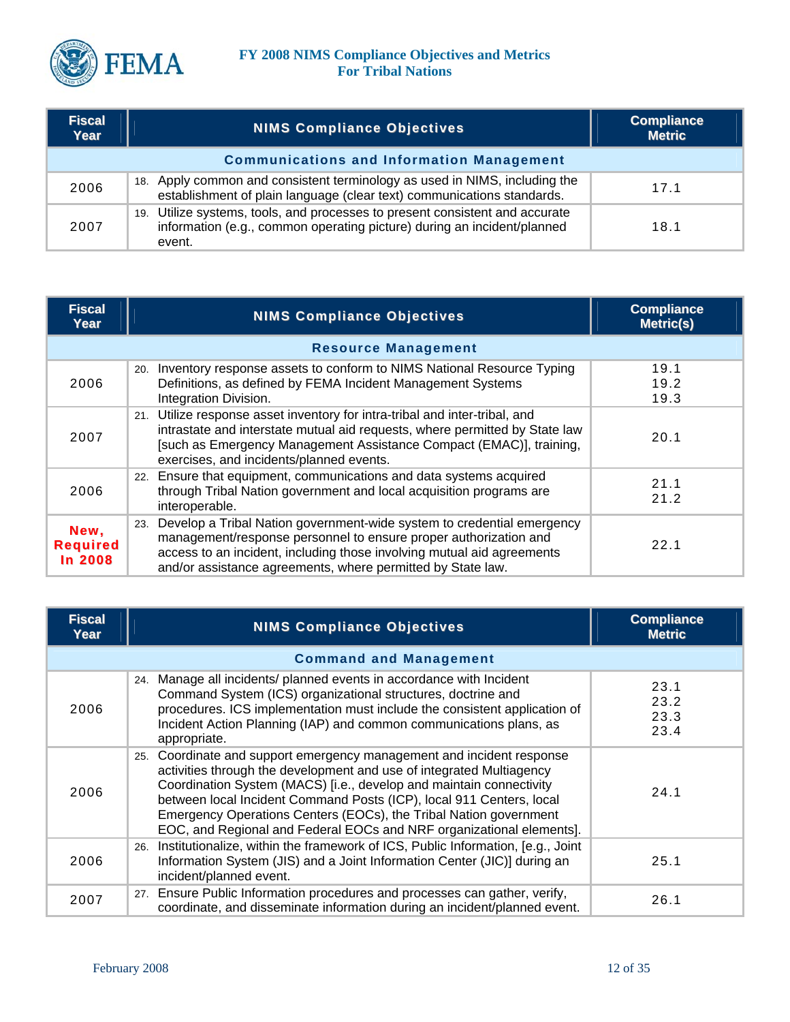

| <b>Fiscal</b><br>Year | <b>NIMS Compliance Objectives</b>                                                                                                                                 | <b>Compliance</b><br><b>Metric</b> |
|-----------------------|-------------------------------------------------------------------------------------------------------------------------------------------------------------------|------------------------------------|
|                       | <b>Communications and Information Management</b>                                                                                                                  |                                    |
| 2006                  | 18. Apply common and consistent terminology as used in NIMS, including the<br>establishment of plain language (clear text) communications standards.              | 17.1                               |
| 2007                  | 19. Utilize systems, tools, and processes to present consistent and accurate<br>information (e.g., common operating picture) during an incident/planned<br>event. | 18.1                               |

| <b>Fiscal</b><br>Year                     | <b>NIMS Compliance Objectives</b>                                                                                                                                                                                                                                                          | <b>Compliance</b><br><b>Metric(s)</b> |
|-------------------------------------------|--------------------------------------------------------------------------------------------------------------------------------------------------------------------------------------------------------------------------------------------------------------------------------------------|---------------------------------------|
|                                           | <b>Resource Management</b>                                                                                                                                                                                                                                                                 |                                       |
| 2006                                      | Inventory response assets to conform to NIMS National Resource Typing<br>20.<br>Definitions, as defined by FEMA Incident Management Systems<br>Integration Division.                                                                                                                       | 19.1<br>19.2<br>19.3                  |
| 2007                                      | 21. Utilize response asset inventory for intra-tribal and inter-tribal, and<br>intrastate and interstate mutual aid requests, where permitted by State law<br>[such as Emergency Management Assistance Compact (EMAC)], training,<br>exercises, and incidents/planned events.              | 20.1                                  |
| 2006                                      | 22. Ensure that equipment, communications and data systems acquired<br>through Tribal Nation government and local acquisition programs are<br>interoperable.                                                                                                                               | 21.1<br>21.2                          |
| New,<br><b>Required</b><br><b>In 2008</b> | Develop a Tribal Nation government-wide system to credential emergency<br>23.<br>management/response personnel to ensure proper authorization and<br>access to an incident, including those involving mutual aid agreements<br>and/or assistance agreements, where permitted by State law. | 22.1                                  |

| <b>Fiscal</b><br>Year | <b>NIMS Compliance Objectives</b>                                                                                                                                                                                                                                                                                                                                                                                                            | <b>Compliance</b><br><b>Metric</b> |
|-----------------------|----------------------------------------------------------------------------------------------------------------------------------------------------------------------------------------------------------------------------------------------------------------------------------------------------------------------------------------------------------------------------------------------------------------------------------------------|------------------------------------|
|                       | <b>Command and Management</b>                                                                                                                                                                                                                                                                                                                                                                                                                |                                    |
| 2006                  | 24. Manage all incidents/ planned events in accordance with Incident<br>Command System (ICS) organizational structures, doctrine and<br>procedures. ICS implementation must include the consistent application of<br>Incident Action Planning (IAP) and common communications plans, as<br>appropriate.                                                                                                                                      | 23.1<br>23.2<br>23.3<br>23.4       |
| 2006                  | Coordinate and support emergency management and incident response<br>25.<br>activities through the development and use of integrated Multiagency<br>Coordination System (MACS) [i.e., develop and maintain connectivity<br>between local Incident Command Posts (ICP), local 911 Centers, local<br>Emergency Operations Centers (EOCs), the Tribal Nation government<br>EOC, and Regional and Federal EOCs and NRF organizational elements]. | 24.1                               |
| 2006                  | Institutionalize, within the framework of ICS, Public Information, [e.g., Joint]<br>26.<br>Information System (JIS) and a Joint Information Center (JIC)] during an<br>incident/planned event.                                                                                                                                                                                                                                               | 25.1                               |
| 2007                  | 27. Ensure Public Information procedures and processes can gather, verify,<br>coordinate, and disseminate information during an incident/planned event.                                                                                                                                                                                                                                                                                      | 26.1                               |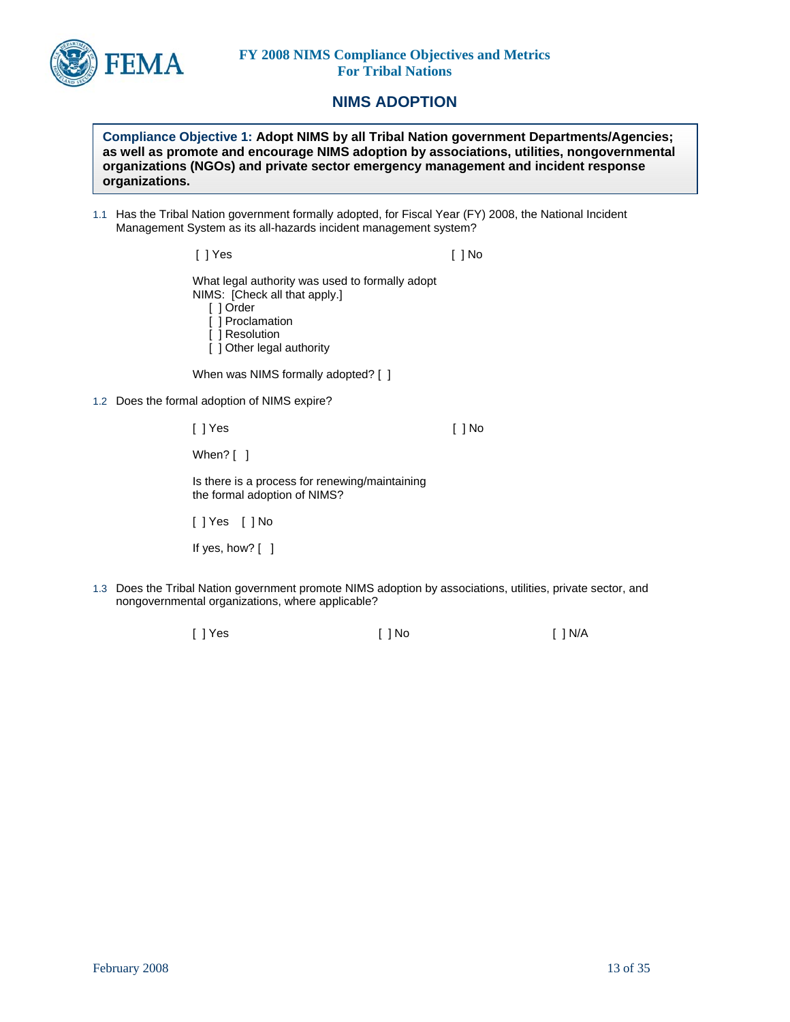

# **NIMS ADOPTION**

**Compliance Objective 1: Adopt NIMS by all Tribal Nation government Departments/Agencies; as well as promote and encourage NIMS adoption by associations, utilities, nongovernmental organizations (NGOs) and private sector emergency management and incident response organizations.** 

1.1 Has the Tribal Nation government formally adopted, for Fiscal Year (FY) 2008, the National Incident Management System as its all-hazards incident management system?

> [ ] Yes [ ] No What legal authority was used to formally adopt NIMS: [Check all that apply.] [ ] Order

- [ ] Proclamation
- [ ] Resolution
- [ ] Other legal authority

When was NIMS formally adopted? [ ]

1.2 Does the formal adoption of NIMS expire?

[ ] Yes [ ] No

When? [ ]

Is there is a process for renewing/maintaining the formal adoption of NIMS?

[ ] Yes [ ] No

If yes, how? [ ]

- 1.3 Does the Tribal Nation government promote NIMS adoption by associations, utilities, private sector, and nongovernmental organizations, where applicable?
	- [ ] Yes [ ] No [ ] N/A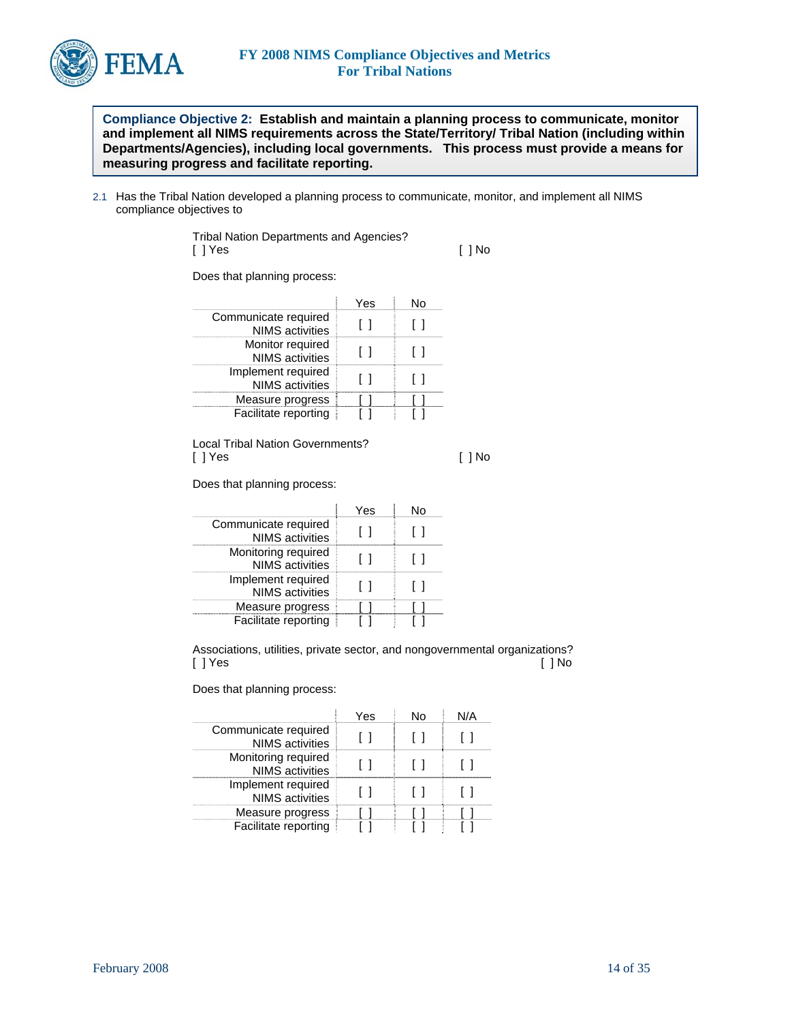

**Compliance Objective 2: Establish and maintain a planning process to communicate, monitor and implement all NIMS requirements across the State/Territory/ Tribal Nation (including within Departments/Agencies), including local governments. This process must provide a means for measuring progress and facilitate reporting.** 

2.1 Has the Tribal Nation developed a planning process to communicate, monitor, and implement all NIMS compliance objectives to

> Tribal Nation Departments and Agencies? [ ] Yes [ ] No

Does that planning process:

| Communicate required<br><b>NIMS</b> activities |  |
|------------------------------------------------|--|
| Monitor required<br><b>NIMS</b> activities     |  |
| Implement required<br><b>NIMS</b> activities   |  |
| Measure progress                               |  |
| Facilitate reporting                           |  |

Local Tribal Nation Governments? [ ] Yes [ ] No

Does that planning process:

| Communicate required<br><b>NIMS</b> activities |  |
|------------------------------------------------|--|
| Monitoring required<br><b>NIMS</b> activities  |  |
| Implement required<br><b>NIMS</b> activities   |  |
| Measure progress                               |  |
| Facilitate reporting                           |  |

Associations, utilities, private sector, and nongovernmental organizations?<br>[ ] No [ ] No [ ] Yes [ ] No

Does that planning process:

|                                                | ⁄ Ας |  |
|------------------------------------------------|------|--|
| Communicate required<br><b>NIMS</b> activities |      |  |
| Monitoring required<br><b>NIMS</b> activities  |      |  |
| Implement required<br><b>NIMS</b> activities   |      |  |
| Measure progress                               |      |  |
| Facilitate reporting                           |      |  |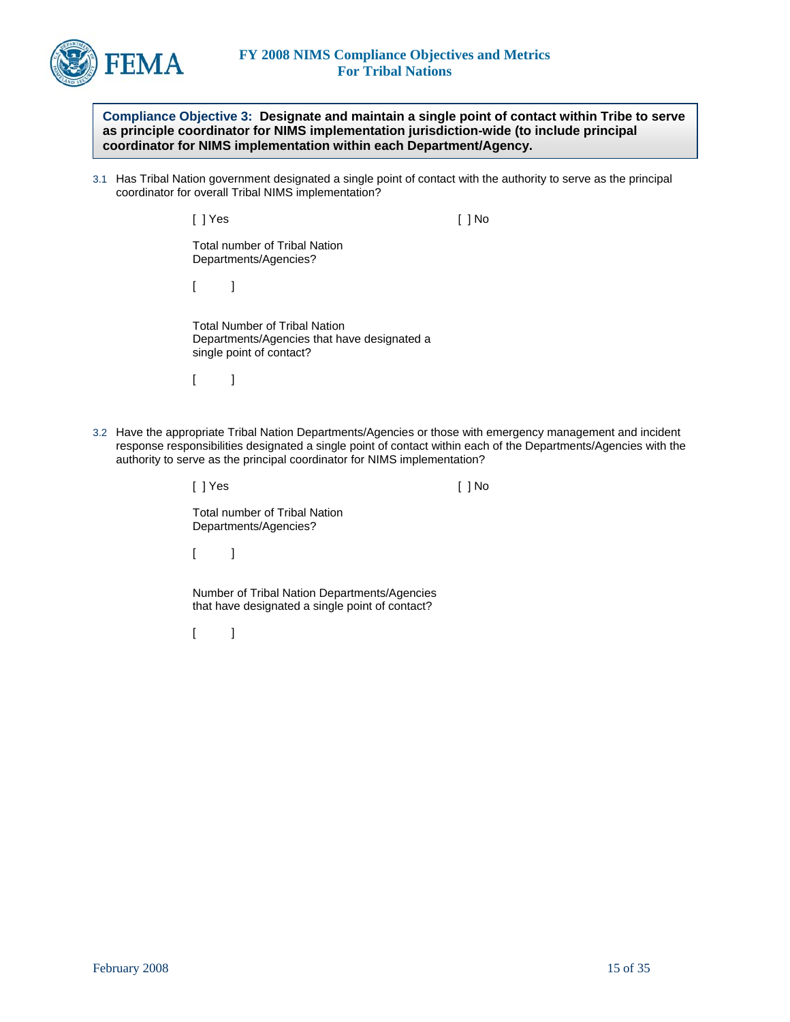

**Compliance Objective 3: Designate and maintain a single point of contact within Tribe to serve as principle coordinator for NIMS implementation jurisdiction-wide (to include principal coordinator for NIMS implementation within each Department/Agency.** 

3.1 Has Tribal Nation government designated a single point of contact with the authority to serve as the principal coordinator for overall Tribal NIMS implementation?

[ ] Yes [ ] No

Total number of Tribal Nation Departments/Agencies?

 $\lceil$   $\lceil$ 

Total Number of Tribal Nation Departments/Agencies that have designated a single point of contact?

 $[$   $]$ 

3.2 Have the appropriate Tribal Nation Departments/Agencies or those with emergency management and incident response responsibilities designated a single point of contact within each of the Departments/Agencies with the authority to serve as the principal coordinator for NIMS implementation?

| [ ] Yes                                                 |                                                                                                 |  |
|---------------------------------------------------------|-------------------------------------------------------------------------------------------------|--|
| Total number of Tribal Nation.<br>Departments/Agencies? |                                                                                                 |  |
| $\Box$                                                  |                                                                                                 |  |
|                                                         | Number of Tribal Nation Departments/Agencies<br>that have designated a single point of contact? |  |

 $[$   $]$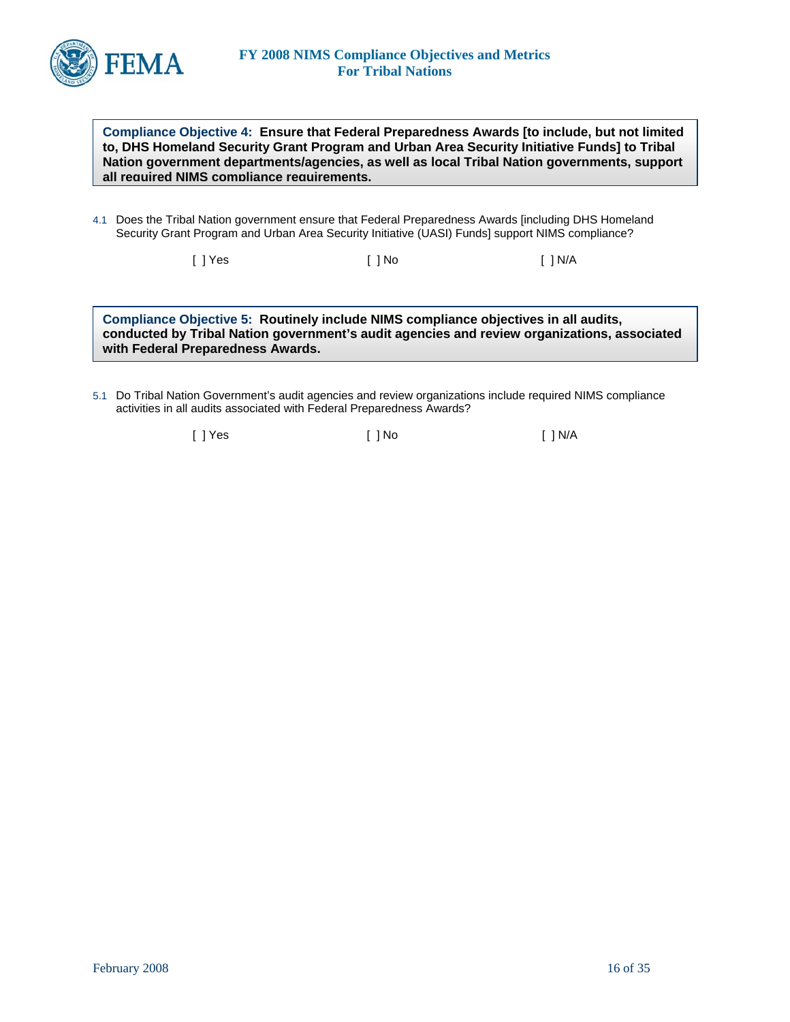

**Compliance Objective 4: Ensure that Federal Preparedness Awards [to include, but not limited to, DHS Homeland Security Grant Program and Urban Area Security Initiative Funds] to Tribal Nation government departments/agencies, as well as local Tribal Nation governments, support all required NIMS compliance requirements.**

4.1 Does the Tribal Nation government ensure that Federal Preparedness Awards [including DHS Homeland Security Grant Program and Urban Area Security Initiative (UASI) Funds] support NIMS compliance?

[ ] Yes [ ] No [ ] N/A

**Compliance Objective 5: Routinely include NIMS compliance objectives in all audits, conducted by Tribal Nation government's audit agencies and review organizations, associated with Federal Preparedness Awards.** 

5.1 Do Tribal Nation Government's audit agencies and review organizations include required NIMS compliance activities in all audits associated with Federal Preparedness Awards?

[ ] Yes [ ] No [ ] N/A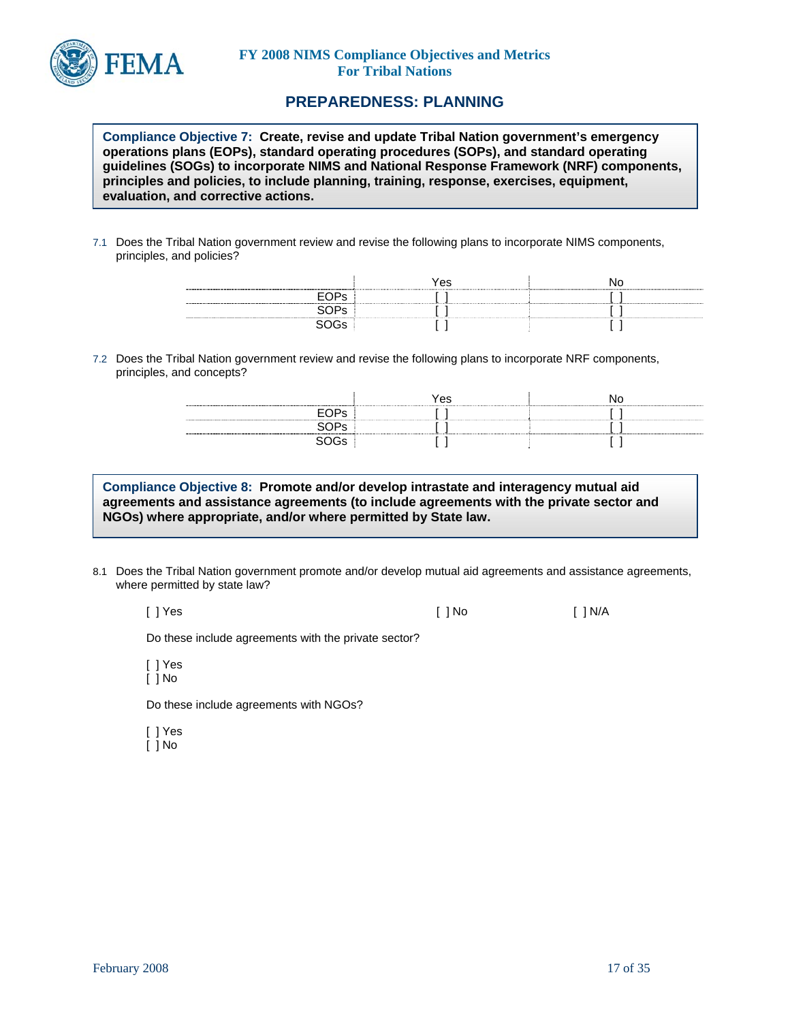

## **PREPAREDNESS: PLANNING**

**Compliance Objective 7: Create, revise and update Tribal Nation government's emergency operations plans (EOPs), standard operating procedures (SOPs), and standard operating guidelines (SOGs) to incorporate NIMS and National Response Framework (NRF) components, principles and policies, to include planning, training, response, exercises, equipment, evaluation, and corrective actions.** 

7.1 Does the Tribal Nation government review and revise the following plans to incorporate NIMS components, principles, and policies?

|                            | Yes |  |
|----------------------------|-----|--|
| ---------------<br>------- |     |  |
|                            |     |  |
|                            |     |  |

7.2 Does the Tribal Nation government review and revise the following plans to incorporate NRF components, principles, and concepts?

| --------         | Yes |  |
|------------------|-----|--|
| $-H$ ( ) $He +$  |     |  |
| $\sim$ De $\sim$ |     |  |
|                  |     |  |

**Compliance Objective 8: Promote and/or develop intrastate and interagency mutual aid agreements and assistance agreements (to include agreements with the private sector and NGOs) where appropriate, and/or where permitted by State law.** 

8.1 Does the Tribal Nation government promote and/or develop mutual aid agreements and assistance agreements, where permitted by state law?

[ ] Yes [ ] No [ ] N/A

Do these include agreements with the private sector?

[ ] Yes [ ] No

Do these include agreements with NGOs?

[ ] Yes

 $\overline{[}$   $\overline{]}$  No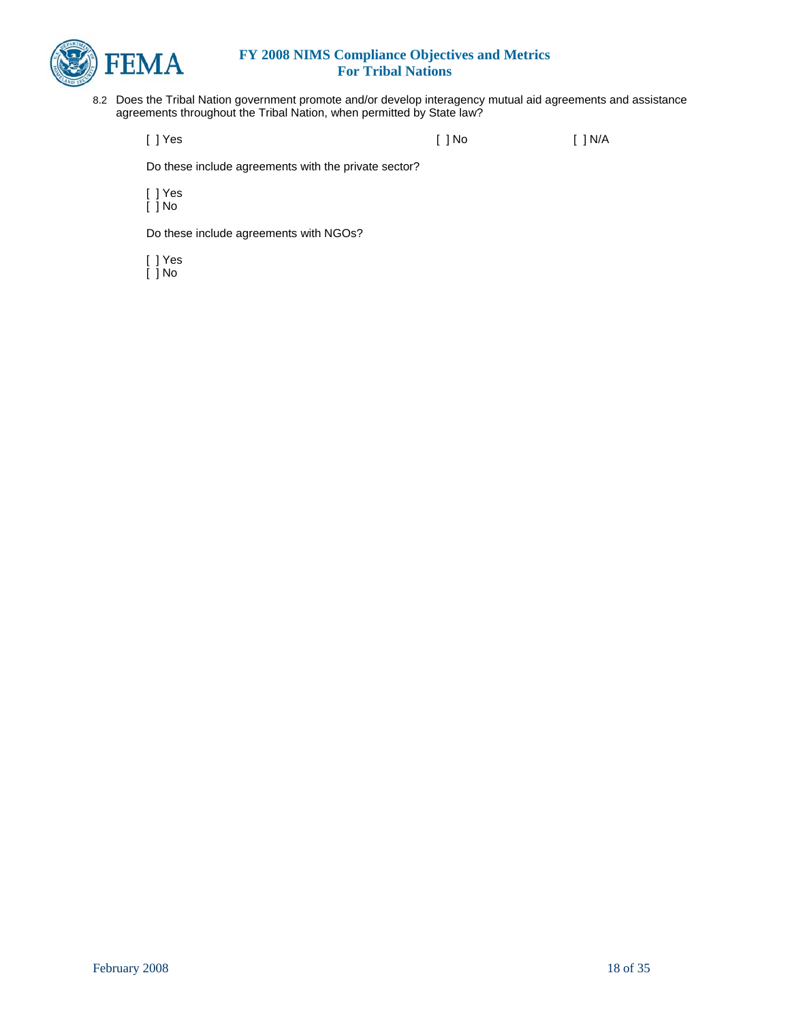

8.2 Does the Tribal Nation government promote and/or develop interagency mutual aid agreements and assistance agreements throughout the Tribal Nation, when permitted by State law?

[ ] Yes [ ] No [ ] N/A

Do these include agreements with the private sector?

[ ] Yes [ ] No

Do these include agreements with NGOs?

[ ] Yes

[ ] No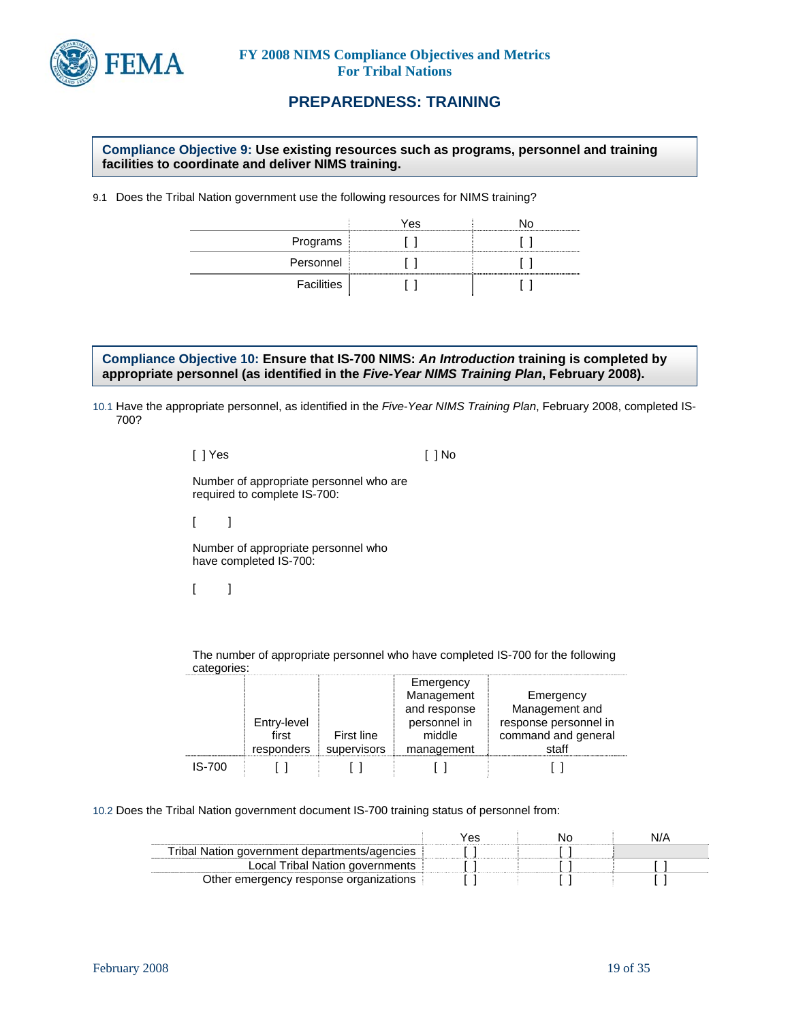

# **PREPAREDNESS: TRAINING**

#### **Compliance Objective 9: Use existing resources such as programs, personnel and training facilities to coordinate and deliver NIMS training.**

9.1 Does the Tribal Nation government use the following resources for NIMS training?

|            | Yes |  |
|------------|-----|--|
| Programs   |     |  |
| Personnel  |     |  |
| Facilities |     |  |

**Compliance Objective 10: Ensure that IS-700 NIMS:** *An Introduction* **training is completed by appropriate personnel (as identified in the** *Five-Year NIMS Training Plan***, February 2008).** 

10.1 Have the appropriate personnel, as identified in the *Five-Year NIMS Training Plan*, February 2008, completed IS-700?

> [ ] Yes [ ] No Number of appropriate personnel who are required to complete IS-700:  $[$   $]$

Number of appropriate personnel who have completed IS-700:

 $[- ]$ 

The number of appropriate personnel who have completed IS-700 for the following categories:

|        | Entry-level<br>first<br>responders | First line<br>supervisors | Emergency<br>Management<br>and response<br>personnel in<br>middle<br>management | Emergency<br>Management and<br>response personnel in<br>command and general<br>staff |
|--------|------------------------------------|---------------------------|---------------------------------------------------------------------------------|--------------------------------------------------------------------------------------|
| IS-700 |                                    |                           |                                                                                 |                                                                                      |

10.2 Does the Tribal Nation government document IS-700 training status of personnel from:

| Tribal Nation government departments/agencies |  |  |
|-----------------------------------------------|--|--|
| Local Tribal Nation governments               |  |  |
| Other emergency response organizations        |  |  |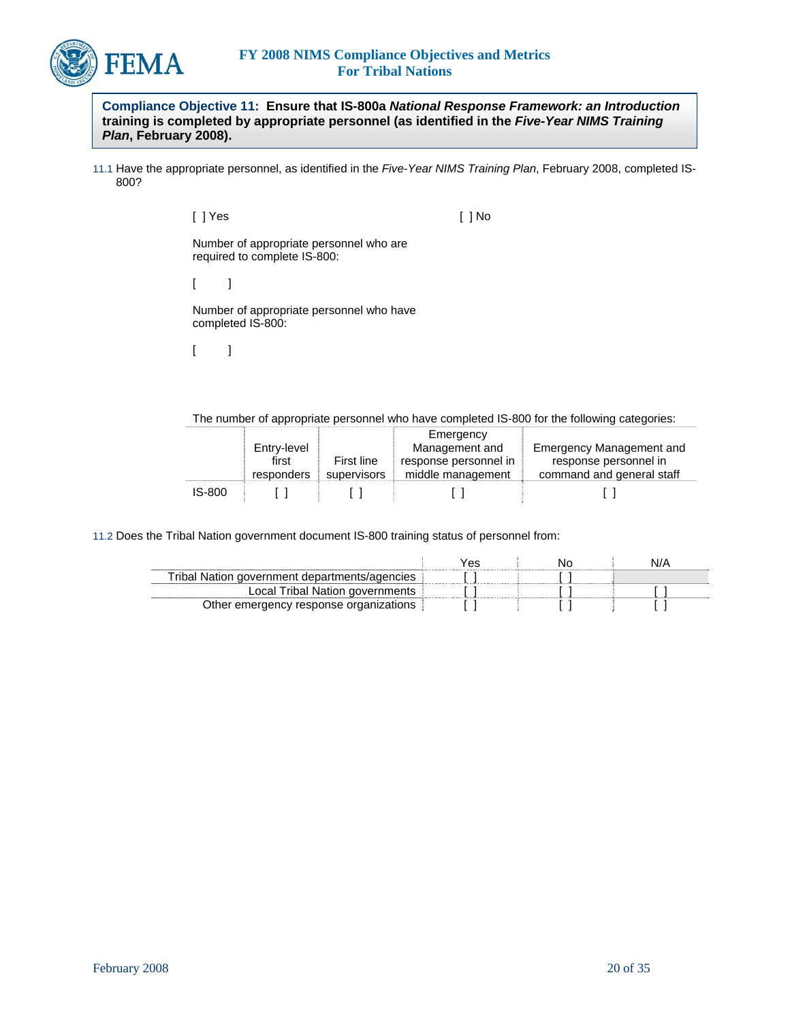

**Compliance Objective 11: Ensure that IS-800a** *National Response Framework: an Introduction* **training is completed by appropriate personnel (as identified in the** *Five-Year NIMS Training Plan***, February 2008).** 

11.1 Have the appropriate personnel, as identified in the *Five-Year NIMS Training Plan*, February 2008, completed IS-800?

[ ] Yes [ ] No

Number of appropriate personnel who are required to complete IS-800:

 $[$   $]$ 

Number of appropriate personnel who have completed IS-800:

 $[$   $]$ 

The number of appropriate personnel who have completed IS-800 for the following categories:

|        |             |             | Emergency             |                                 |
|--------|-------------|-------------|-----------------------|---------------------------------|
|        | Entry-level |             | Management and        | <b>Emergency Management and</b> |
|        | first       | First line  | response personnel in | response personnel in           |
|        | responders  | supervisors | middle management     | command and general staff       |
| IS-800 |             |             |                       |                                 |

11.2 Does the Tribal Nation government document IS-800 training status of personnel from:

|                                               | Yes |  |
|-----------------------------------------------|-----|--|
| Tribal Nation government departments/agencies |     |  |
| Local Tribal Nation governments               |     |  |
| Other emergency response organizations        |     |  |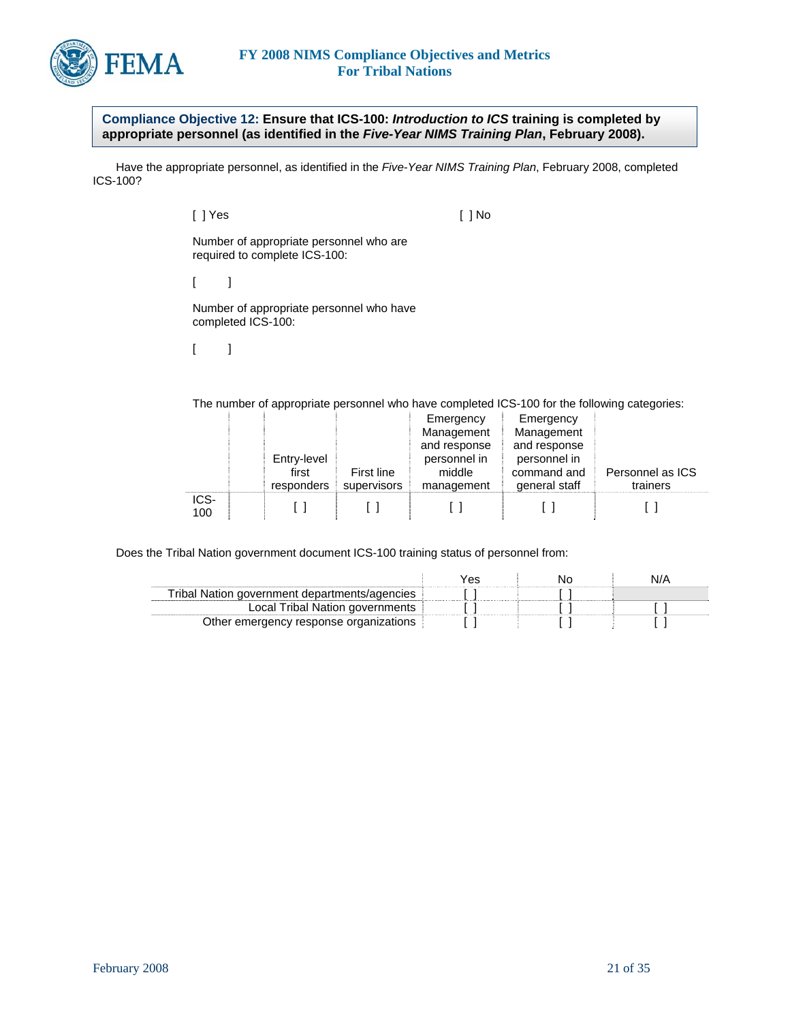

**Compliance Objective 12: Ensure that ICS-100:** *Introduction to ICS* **training is completed by appropriate personnel (as identified in the** *Five-Year NIMS Training Plan***, February 2008).** 

 Have the appropriate personnel, as identified in the *Five-Year NIMS Training Plan*, February 2008, completed ICS-100?

[ ] Yes [ ] No

Number of appropriate personnel who are required to complete ICS-100:

 $\begin{bmatrix} 1 & 1 \end{bmatrix}$ 

Number of appropriate personnel who have completed ICS-100:

 $[$   $]$ 

The number of appropriate personnel who have completed ICS-100 for the following categories:

|             |             |             | Emergency    | Emergency     |                  |
|-------------|-------------|-------------|--------------|---------------|------------------|
|             |             |             | Management   | Management    |                  |
|             |             |             | and response | and response  |                  |
|             | Entry-level |             | personnel in | personnel in  |                  |
|             | first       | First line  | middle       | command and   | Personnel as ICS |
|             | responders  | supervisors | management   | general staff | trainers         |
| ICS-<br>100 |             |             |              |               |                  |

Does the Tribal Nation government document ICS-100 training status of personnel from:

|                                               | res | N/A |
|-----------------------------------------------|-----|-----|
| Fribal Nation government departments/agencies |     |     |
| Local Tribal Nation governments               |     |     |
| Other emergency response organizations        |     |     |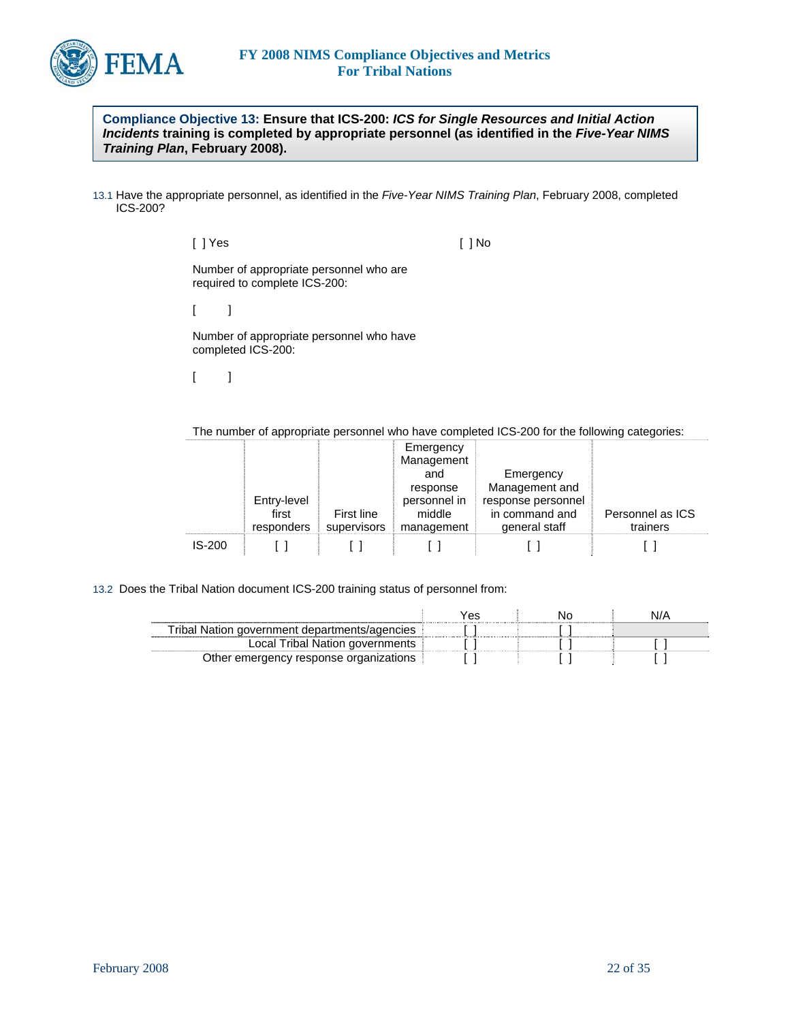

**Compliance Objective 13: Ensure that ICS-200:** *ICS for Single Resources and Initial Action Incidents* **training is completed by appropriate personnel (as identified in the** *Five-Year NIMS Training Plan***, February 2008).** 

13.1 Have the appropriate personnel, as identified in the *Five-Year NIMS Training Plan*, February 2008, completed ICS-200?

[ ] Yes [ ] No

Number of appropriate personnel who are required to complete ICS-200:

 $[$   $]$ 

Number of appropriate personnel who have completed ICS-200:

 $[$   $]$ 

The number of appropriate personnel who have completed ICS-200 for the following categories:

|          |                     |                                  | Emergency<br>Management |                                 |                              |
|----------|---------------------|----------------------------------|-------------------------|---------------------------------|------------------------------|
|          |                     |                                  | and                     | Emergency                       |                              |
|          |                     |                                  | response                | Management and                  |                              |
|          | Entry-level         |                                  | personnel in            | response personnel              |                              |
|          | first<br>responders | <b>First line</b><br>supervisors | middle<br>management    | in command and<br>general staff | Personnel as ICS<br>trainers |
| $IS-200$ |                     |                                  |                         |                                 |                              |

13.2 Does the Tribal Nation document ICS-200 training status of personnel from:

|                                               | Ά۶ | N/A |
|-----------------------------------------------|----|-----|
| Tribal Nation government departments/agencies |    |     |
| Local Tribal Nation governments               |    |     |
| Other emergency response organizations        |    |     |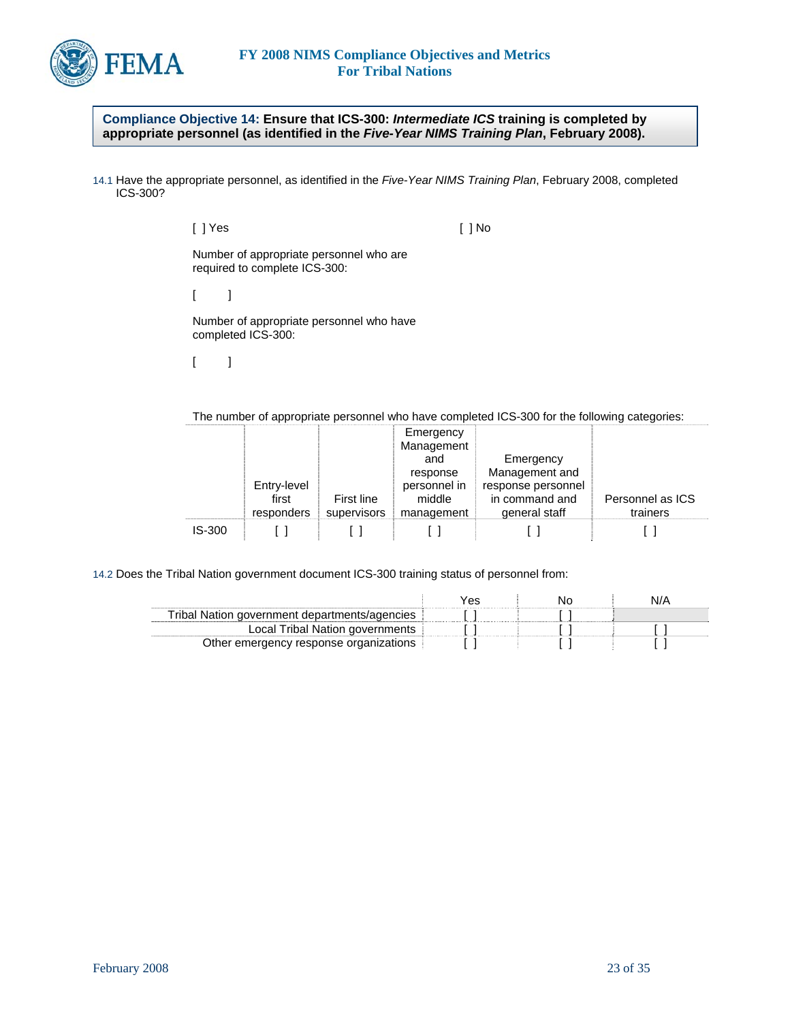

**Compliance Objective 14: Ensure that ICS-300:** *Intermediate ICS* **training is completed by appropriate personnel (as identified in the** *Five-Year NIMS Training Plan***, February 2008).** 

14.1 Have the appropriate personnel, as identified in the *Five-Year NIMS Training Plan*, February 2008, completed ICS-300?

> [ ] Yes [ ] No Number of appropriate personnel who are required to complete ICS-300:  $[$   $]$ Number of appropriate personnel who have completed ICS-300:  $[$   $]$

The number of appropriate personnel who have completed ICS-300 for the following categories:

|               |                     |                           | Emergency<br>Management |                                 |                              |
|---------------|---------------------|---------------------------|-------------------------|---------------------------------|------------------------------|
|               |                     |                           | and                     | Emergency                       |                              |
|               |                     |                           | response                | Management and                  |                              |
|               | Entry-level         |                           | personnel in            | response personnel              |                              |
|               | first<br>responders | First line<br>supervisors | middle<br>management    | in command and<br>general staff | Personnel as ICS<br>trainers |
| <b>IS-300</b> |                     |                           |                         |                                 |                              |

14.2 Does the Tribal Nation government document ICS-300 training status of personnel from:

| Fribal Nation government departments/agencies |  |  |
|-----------------------------------------------|--|--|
| Local Tribal Nation governments               |  |  |
| Other emergency response organizations        |  |  |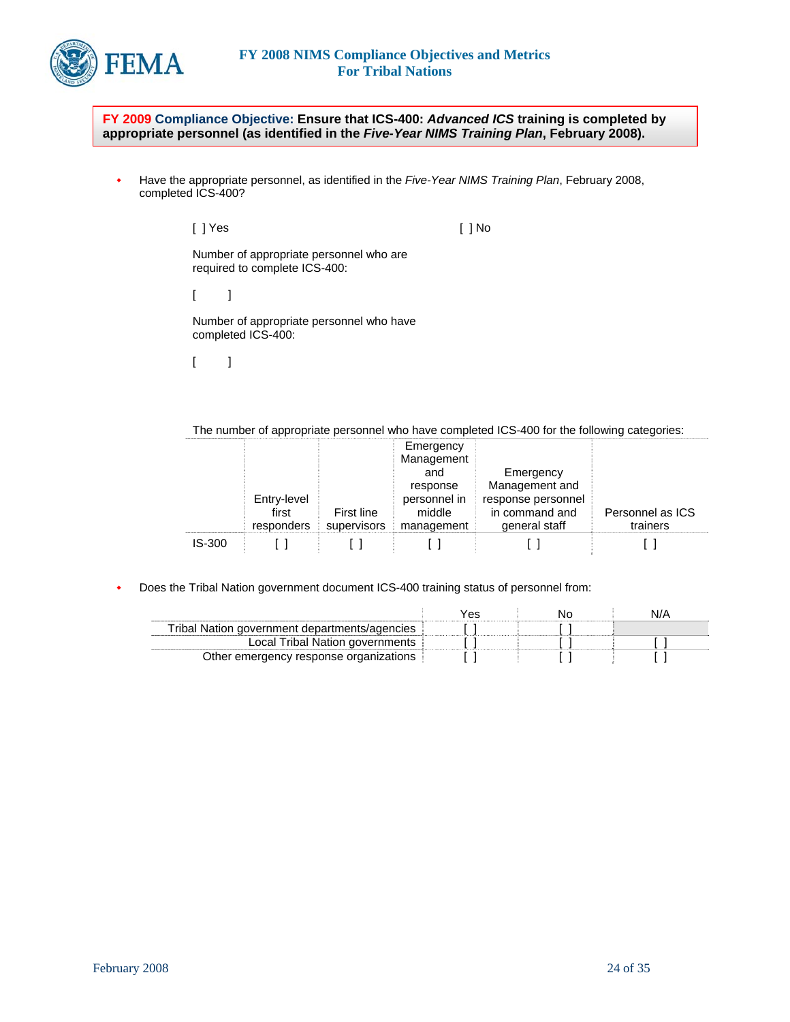

**FY 2009 Compliance Objective: Ensure that ICS-400:** *Advanced ICS* **training is completed by appropriate personnel (as identified in the** *Five-Year NIMS Training Plan***, February 2008).** 

 Have the appropriate personnel, as identified in the *Five-Year NIMS Training Plan*, February 2008, completed ICS-400?

> [ ] Yes [ ] No Number of appropriate personnel who are required to complete ICS-400:  $[$   $]$ Number of appropriate personnel who have completed ICS-400:

 $[$   $]$ 

The number of appropriate personnel who have completed ICS-400 for the following categories:

|          |             |             | Emergency<br>Management |                    |                  |
|----------|-------------|-------------|-------------------------|--------------------|------------------|
|          |             |             | and                     | Emergency          |                  |
|          |             |             | response                | Management and     |                  |
|          | Entry-level |             | personnel in            | response personnel |                  |
|          | first       | First line  | middle                  | in command and     | Personnel as ICS |
|          | responders  | supervisors | management              | general staff      | trainers         |
| $IS-300$ |             |             |                         |                    |                  |

Does the Tribal Nation government document ICS-400 training status of personnel from:

|                                               | Ά۶ | N/A |
|-----------------------------------------------|----|-----|
| Tribal Nation government departments/agencies |    |     |
| Local Tribal Nation governments               |    |     |
| Other emergency response organizations        |    |     |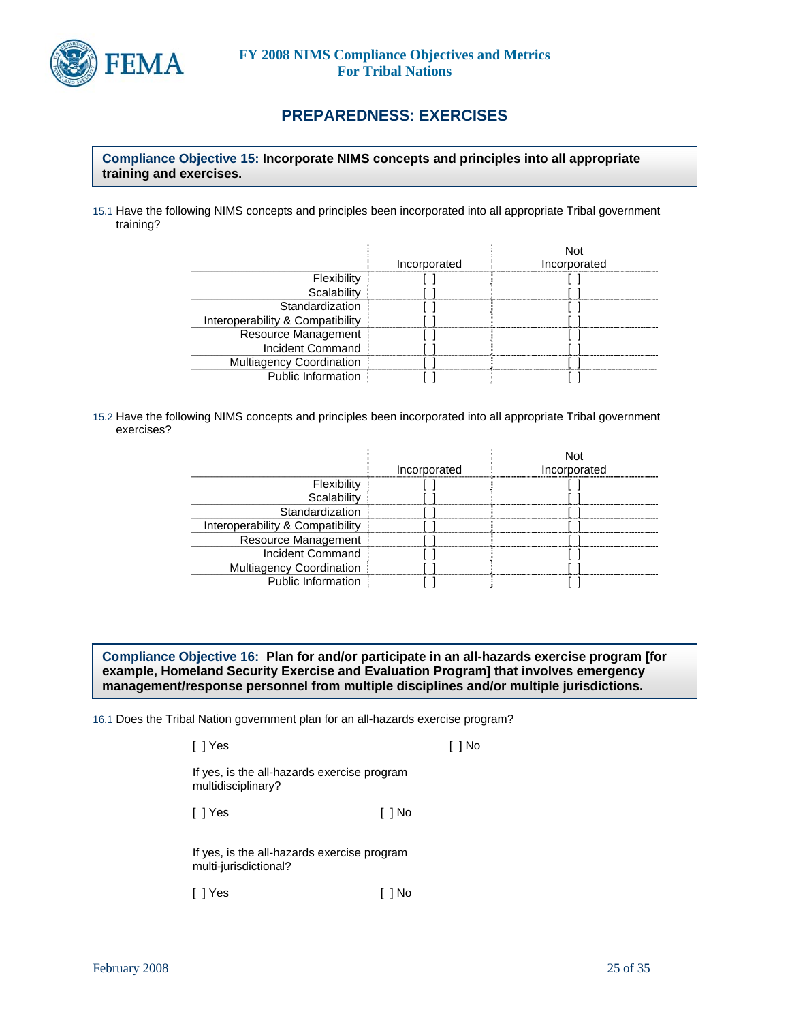

# **PREPAREDNESS: EXERCISES**

### **Compliance Objective 15: Incorporate NIMS concepts and principles into all appropriate training and exercises.**

15.1 Have the following NIMS concepts and principles been incorporated into all appropriate Tribal government training?

|                                  | Incorporated | Incorporated |
|----------------------------------|--------------|--------------|
| Flexibility                      |              |              |
| Scalability                      |              |              |
| Standardization                  |              |              |
| Interoperability & Compatibility |              |              |
| Resource Management              |              |              |
| Incident Command                 |              |              |
| <b>Multiagency Coordination</b>  |              |              |
| Public Information               |              |              |

15.2 Have the following NIMS concepts and principles been incorporated into all appropriate Tribal government exercises?

|                                  | Incorporated | Incorporated |
|----------------------------------|--------------|--------------|
| Flexibility                      |              |              |
| Scalability                      |              |              |
| Standardization                  |              |              |
| Interoperability & Compatibility |              |              |
| Resource Management              |              |              |
| <b>Incident Command</b>          |              |              |
| <b>Multiagency Coordination</b>  |              |              |
| <b>Public Information</b>        |              |              |

**Compliance Objective 16: Plan for and/or participate in an all-hazards exercise program [for example, Homeland Security Exercise and Evaluation Program] that involves emergency management/response personnel from multiple disciplines and/or multiple jurisdictions.** 

16.1 Does the Tribal Nation government plan for an all-hazards exercise program?

[ ] Yes [ ] No

If yes, is the all-hazards exercise program multidisciplinary?

[ ] Yes [ ] No

If yes, is the all-hazards exercise program multi-jurisdictional?

[ ] Yes [ ] No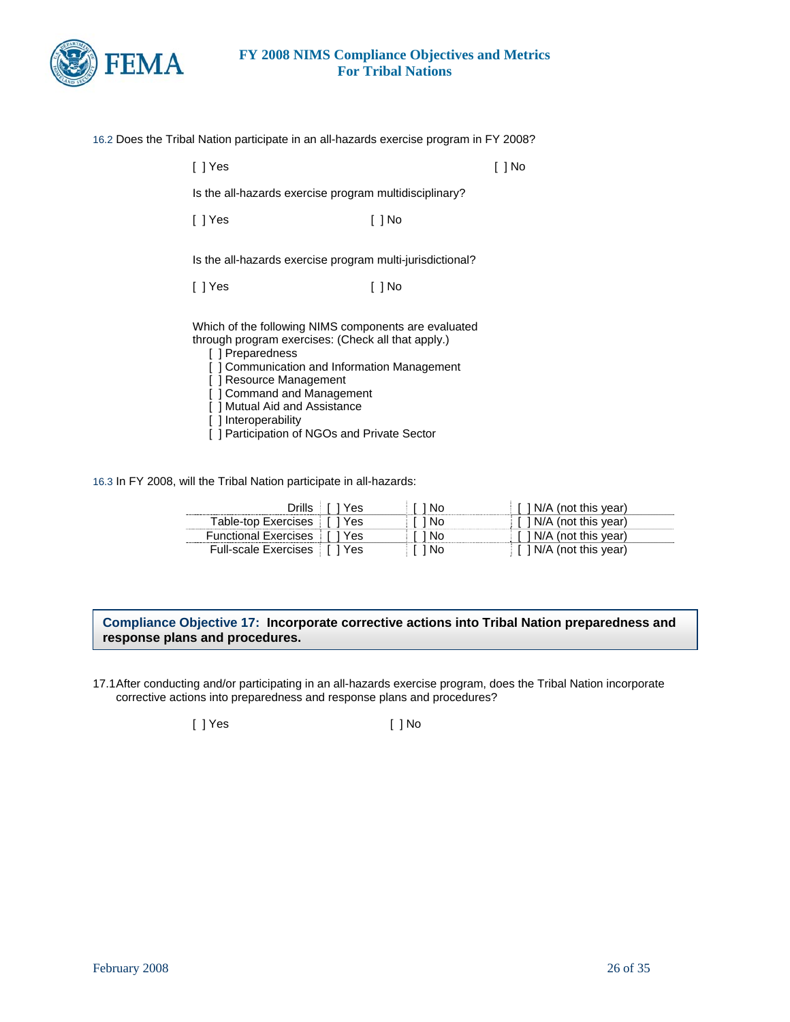

| 16.2 Does the Tribal Nation participate in an all-hazards exercise program in FY 2008?                                                                                                                                                                                                     |        |        |  |
|--------------------------------------------------------------------------------------------------------------------------------------------------------------------------------------------------------------------------------------------------------------------------------------------|--------|--------|--|
| $[ ]$ Yes                                                                                                                                                                                                                                                                                  |        | [ ] No |  |
| Is the all-hazards exercise program multidisciplinary?                                                                                                                                                                                                                                     |        |        |  |
| [ ] Yes                                                                                                                                                                                                                                                                                    | [ ] No |        |  |
| Is the all-hazards exercise program multi-jurisdictional?                                                                                                                                                                                                                                  |        |        |  |
| [ ] Yes                                                                                                                                                                                                                                                                                    | [ ] No |        |  |
| Which of the following NIMS components are evaluated<br>through program exercises: (Check all that apply.)<br>[] Preparedness<br>[] Communication and Information Management<br>[] Resource Management<br>] Command and Management<br>[] Mutual Aid and Assistance<br>l 1 Interonerahility |        |        |  |

- [ ] Interoperability
- [ ] Participation of NGOs and Private Sector

16.3 In FY 2008, will the Tribal Nation participate in all-hazards:

| Drills L                      | ∣ i Yesi | 1 No | $\lceil$ $\lceil$ N/A (not this year)                   |
|-------------------------------|----------|------|---------------------------------------------------------|
| Table-top Exercises   [ ] Yes |          | 1 No | $\lceil$ 1 N/A (not this year)                          |
| Functional Exercises [1] Yes  |          | 1 No | $\lceil$ 1 N/A (not this year)                          |
| Full-scale Exercises   1 Yes  |          | 1 No | $\parallel$ $\parallel$ $\parallel$ N/A (not this year) |

#### **Compliance Objective 17: Incorporate corrective actions into Tribal Nation preparedness and response plans and procedures.**

17.1 After conducting and/or participating in an all-hazards exercise program, does the Tribal Nation incorporate corrective actions into preparedness and response plans and procedures?

[ ] Yes [ ] No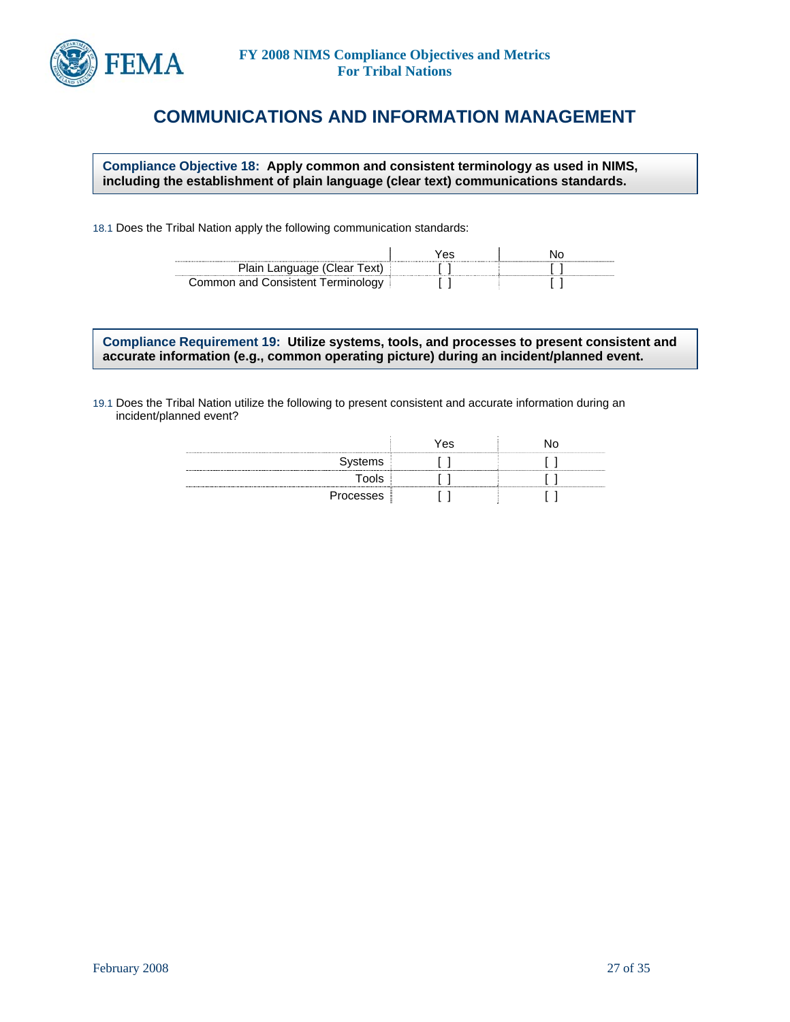

# **COMMUNICATIONS AND INFORMATION MANAGEMENT**

**Compliance Objective 18: Apply common and consistent terminology as used in NIMS, including the establishment of plain language (clear text) communications standards.** 

18.1 Does the Tribal Nation apply the following communication standards:

| Plain Language (Clear Text)       |  |
|-----------------------------------|--|
| Common and Consistent Terminology |  |

**Compliance Requirement 19: Utilize systems, tools, and processes to present consistent and accurate information (e.g., common operating picture) during an incident/planned event.** 

19.1 Does the Tribal Nation utilize the following to present consistent and accurate information during an incident/planned event?

|                       | Yes | חו |
|-----------------------|-----|----|
| Systems<br>---------- |     |    |
| Tools                 |     |    |
| Processes             |     |    |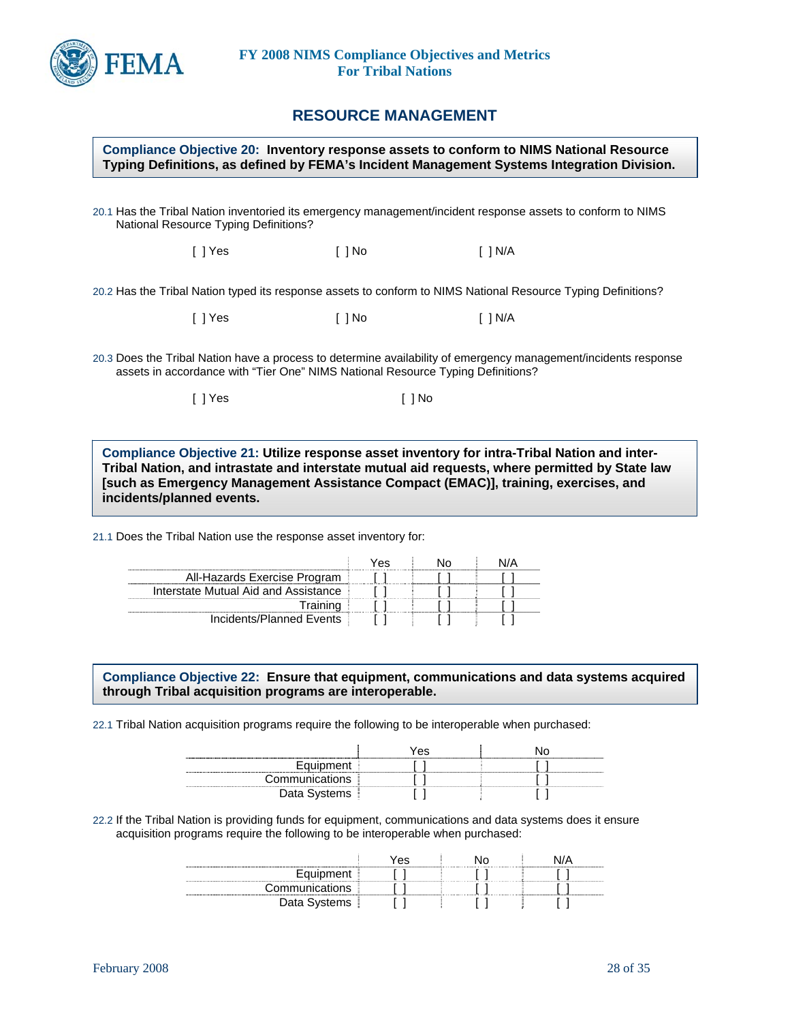

## **RESOURCE MANAGEMENT**

#### **Compliance Objective 20: Inventory response assets to conform to NIMS National Resource Typing Definitions, as defined by FEMA's Incident Management Systems Integration Division.**

20.1 Has the Tribal Nation inventoried its emergency management/incident response assets to conform to NIMS National Resource Typing Definitions?

[ ] Yes [ ] No [ ] N/A

20.2 Has the Tribal Nation typed its response assets to conform to NIMS National Resource Typing Definitions?

[ ] Yes [ ] No [ ] N/A

20.3 Does the Tribal Nation have a process to determine availability of emergency management/incidents response assets in accordance with "Tier One" NIMS National Resource Typing Definitions?

[ ] Yes [ ] No

**Compliance Objective 21: Utilize response asset inventory for intra-Tribal Nation and inter-Tribal Nation, and intrastate and interstate mutual aid requests, where permitted by State law [such as Emergency Management Assistance Compact (EMAC)], training, exercises, and incidents/planned events.** 

21.1 Does the Tribal Nation use the response asset inventory for:

|                                      | 'es |  |
|--------------------------------------|-----|--|
| All-Hazards Exercise Program         |     |  |
| Interstate Mutual Aid and Assistance |     |  |
| Training                             |     |  |
| Incidents/Planned Events             |     |  |

**Compliance Objective 22: Ensure that equipment, communications and data systems acquired through Tribal acquisition programs are interoperable.** 

22.1 Tribal Nation acquisition programs require the following to be interoperable when purchased:

| -------------------- | Yes |  |
|----------------------|-----|--|
|                      |     |  |
| Communications       |     |  |
| ala uyuww            |     |  |

22.2 If the Tribal Nation is providing funds for equipment, communications and data systems does it ensure acquisition programs require the following to be interoperable when purchased:

|                       | 'es |  |
|-----------------------|-----|--|
| Equipment             |     |  |
| Communications        |     |  |
| Data ა <sub>y -</sub> |     |  |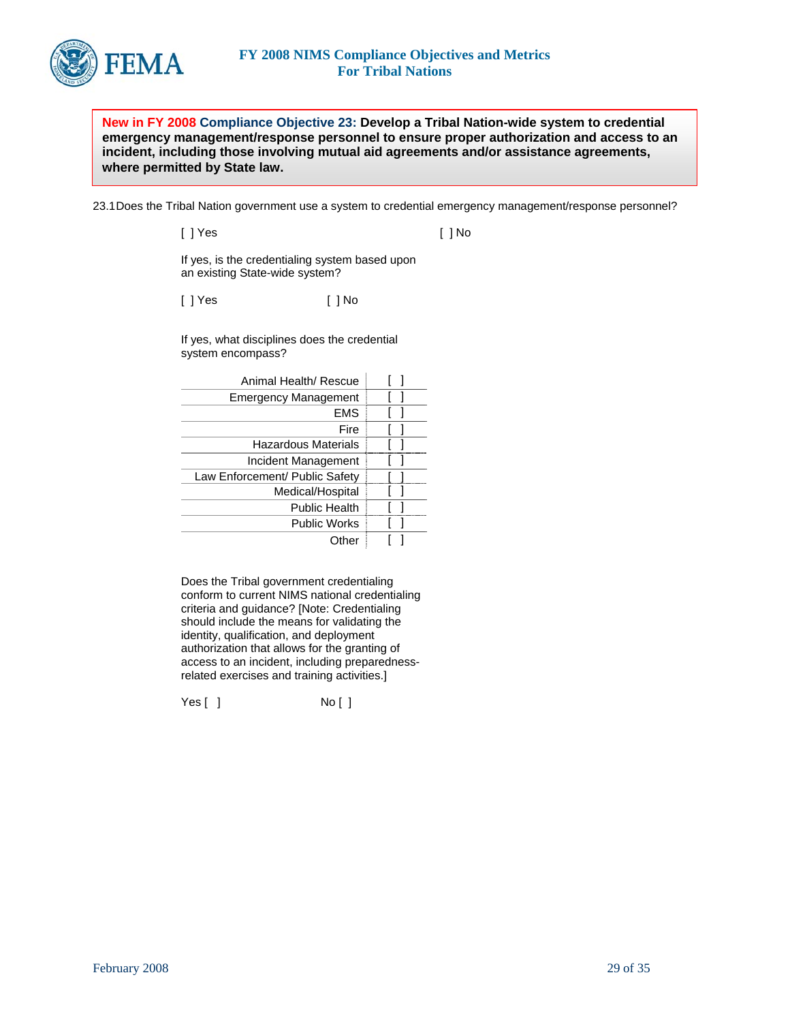

**New in FY 2008 Compliance Objective 23: Develop a Tribal Nation-wide system to credential emergency management/response personnel to ensure proper authorization and access to an incident, including those involving mutual aid agreements and/or assistance agreements, where permitted by State law.** 

23.1 Does the Tribal Nation government use a system to credential emergency management/response personnel?

| [ ] Yes | $[ ]$ No |
|---------|----------|
|         |          |

If yes, is the credentialing system based upon an existing State-wide system?

[ ] Yes [ ] No

If yes, what disciplines does the credential system encompass?

Does the Tribal government credentialing conform to current NIMS national credentialing criteria and guidance? [Note: Credentialing should include the means for validating the identity, qualification, and deployment authorization that allows for the granting of access to an incident, including preparednessrelated exercises and training activities.]

Yes [ ] No [ ]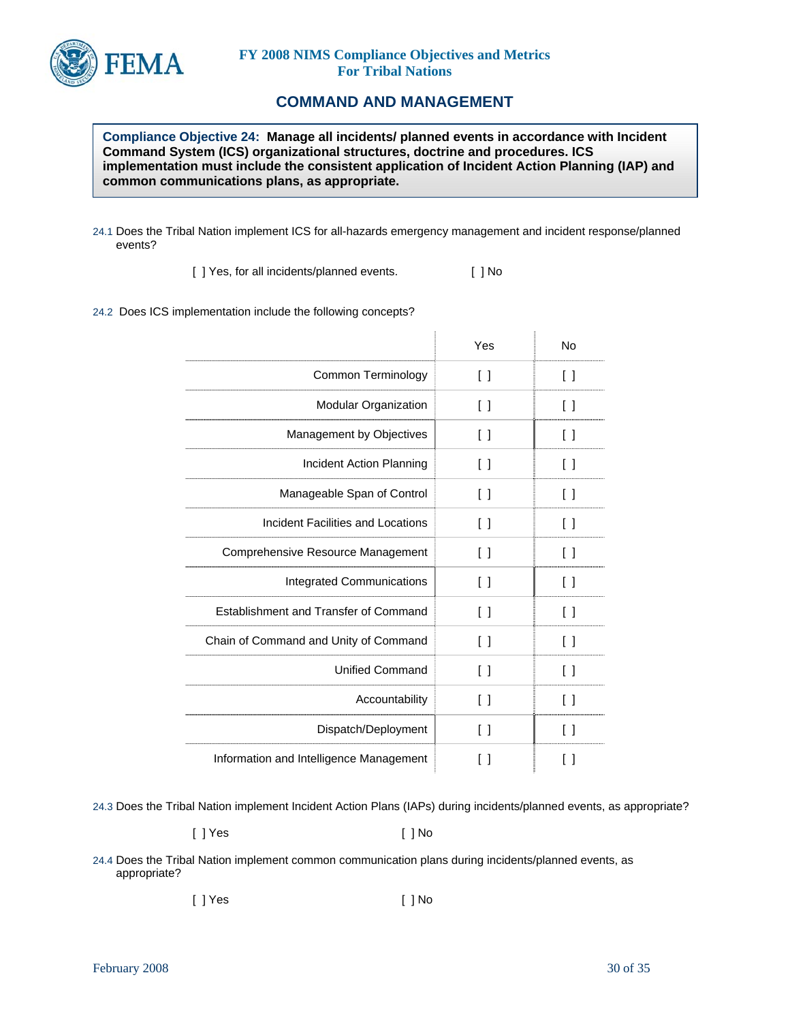

## **COMMAND AND MANAGEMENT**

**Compliance Objective 24: Manage all incidents/ planned events in accordance with Incident Command System (ICS) organizational structures, doctrine and procedures. ICS implementation must include the consistent application of Incident Action Planning (IAP) and common communications plans, as appropriate.** 

24.1 Does the Tribal Nation implement ICS for all-hazards emergency management and incident response/planned events?

[ ] Yes, for all incidents/planned events. [ ] No

24.2 Does ICS implementation include the following concepts?

|                                         | Yes                    | No      |
|-----------------------------------------|------------------------|---------|
| Common Terminology                      | $\Box$                 | Ιl      |
| Modular Organization                    | $\Box$                 | Ιl      |
| Management by Objectives                | Ιl                     | Ιl      |
| Incident Action Planning                | $\lceil$ $\rceil$      | Ιl      |
| Manageable Span of Control              | $\Box$                 | Ιl      |
| Incident Facilities and Locations       | $\lceil$ 1             | Ιl      |
| Comprehensive Resource Management       | $\Box$                 | Ιl      |
| <b>Integrated Communications</b>        | $\lceil$ 1             | Ιl      |
| Establishment and Transfer of Command   | $\Box$                 | Ιl      |
| Chain of Command and Unity of Command   | $\lceil$ 1             | Ιl      |
| <b>Unified Command</b>                  | Ιl                     | Ιl      |
| Accountability                          | $\lceil$ 1             |         |
| Dispatch/Deployment                     | $\left[ \quad \right]$ | LΙ      |
| Information and Intelligence Management | Γl                     | $\perp$ |

24.3 Does the Tribal Nation implement Incident Action Plans (IAPs) during incidents/planned events, as appropriate?

[ ] Yes [ ] No

24.4 Does the Tribal Nation implement common communication plans during incidents/planned events, as appropriate?

[ ] Yes [ ] No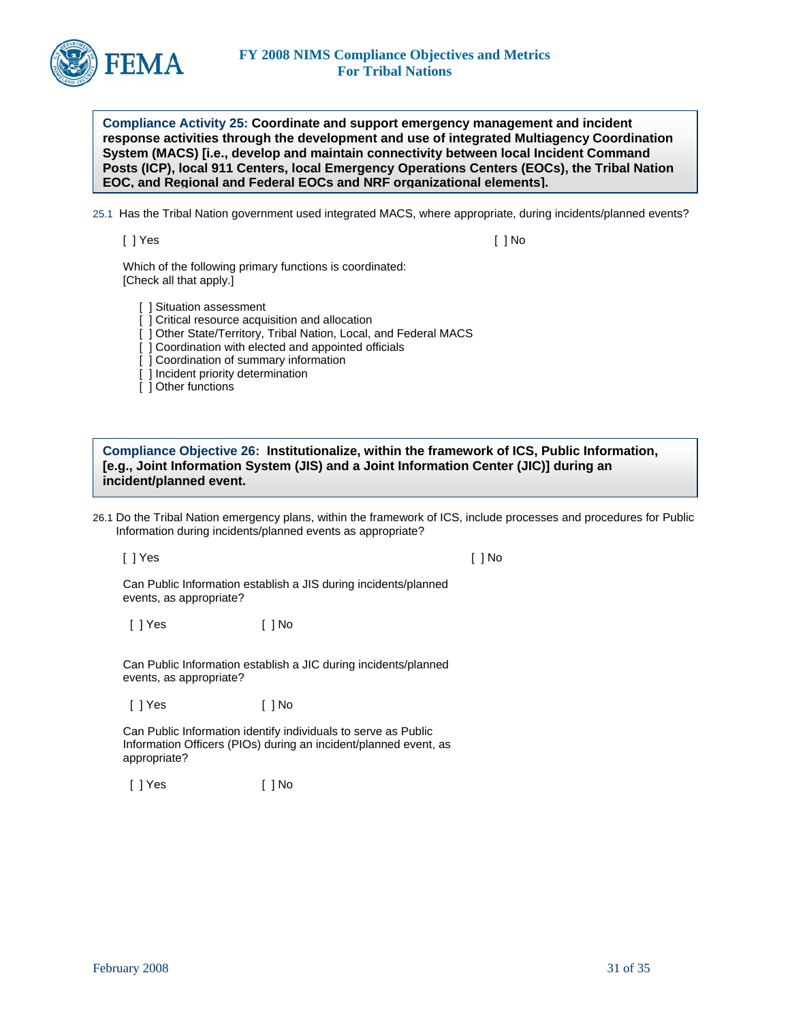

**Compliance Activity 25: Coordinate and support emergency management and incident response activities through the development and use of integrated Multiagency Coordination System (MACS) [i.e., develop and maintain connectivity between local Incident Command Posts (ICP), local 911 Centers, local Emergency Operations Centers (EOCs), the Tribal Nation EOC, and Regional and Federal EOCs and NRF organizational elements].** 

25.1 Has the Tribal Nation government used integrated MACS, where appropriate, during incidents/planned events?

[ ] Yes [ ] No

Which of the following primary functions is coordinated: [Check all that apply.]

[ ] Situation assessment

[ ] Critical resource acquisition and allocation

[ ] Other State/Territory, Tribal Nation, Local, and Federal MACS

[ ] Coordination with elected and appointed officials

[ ] Coordination of summary information

[ ] Incident priority determination

[ ] Other functions

**Compliance Objective 26: Institutionalize, within the framework of ICS, Public Information, [e.g., Joint Information System (JIS) and a Joint Information Center (JIC)] during an incident/planned event.** 

26.1 Do the Tribal Nation emergency plans, within the framework of ICS, include processes and procedures for Public Information during incidents/planned events as appropriate?

[ ] Yes [ ] No

Can Public Information establish a JIS during incidents/planned events, as appropriate?

[ ] Yes [ ] No

Can Public Information establish a JIC during incidents/planned events, as appropriate?

[ ] Yes [ ] No

Can Public Information identify individuals to serve as Public Information Officers (PIOs) during an incident/planned event, as appropriate?

[ ] Yes [ ] No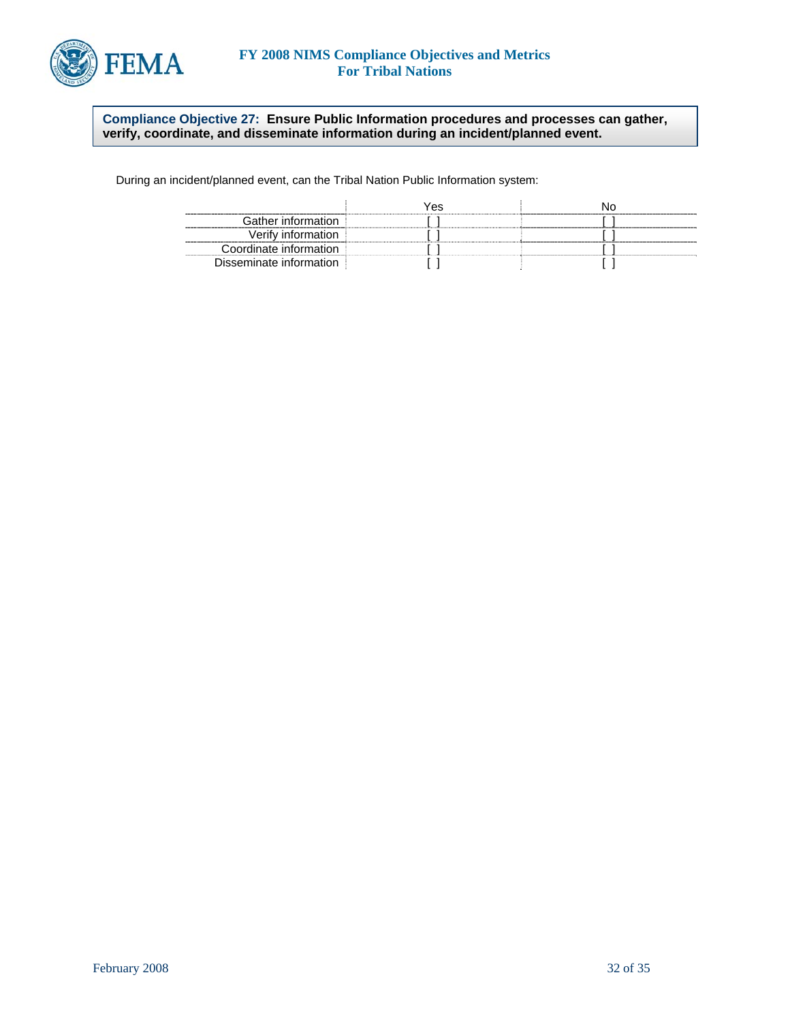

### **Compliance Objective 27: Ensure Public Information procedures and processes can gather, verify, coordinate, and disseminate information during an incident/planned event.**

During an incident/planned event, can the Tribal Nation Public Information system:

|                         | 7es |  |
|-------------------------|-----|--|
| Gather information.     |     |  |
| Verify information      |     |  |
| Coordinate information  |     |  |
| Disseminate information |     |  |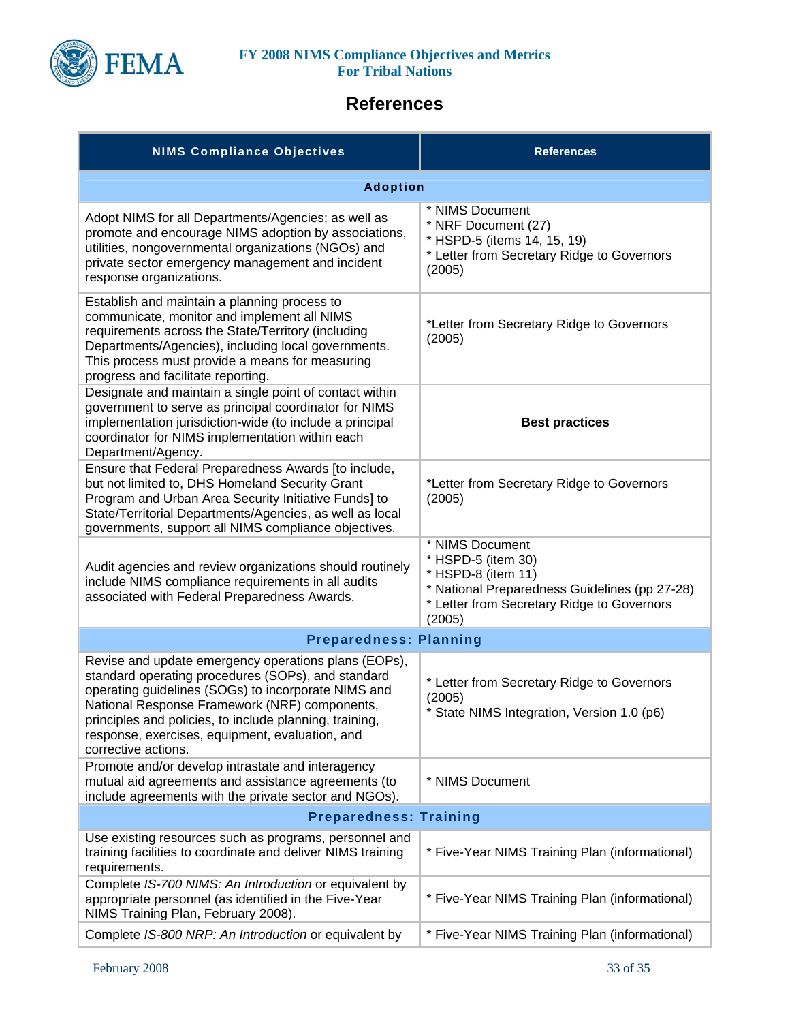

# **References**

| <b>NIMS Compliance Objectives</b>                                                                                                                                                                                                                                                                                                                       | <b>References</b>                                                                                                                                                    |  |
|---------------------------------------------------------------------------------------------------------------------------------------------------------------------------------------------------------------------------------------------------------------------------------------------------------------------------------------------------------|----------------------------------------------------------------------------------------------------------------------------------------------------------------------|--|
| <b>Adoption</b>                                                                                                                                                                                                                                                                                                                                         |                                                                                                                                                                      |  |
| Adopt NIMS for all Departments/Agencies; as well as<br>promote and encourage NIMS adoption by associations,<br>utilities, nongovernmental organizations (NGOs) and<br>private sector emergency management and incident<br>response organizations.                                                                                                       | * NIMS Document<br>* NRF Document (27)<br>* HSPD-5 (items 14, 15, 19)<br>* Letter from Secretary Ridge to Governors<br>(2005)                                        |  |
| Establish and maintain a planning process to<br>communicate, monitor and implement all NIMS<br>requirements across the State/Territory (including<br>Departments/Agencies), including local governments.<br>This process must provide a means for measuring<br>progress and facilitate reporting.                                                       | *Letter from Secretary Ridge to Governors<br>(2005)                                                                                                                  |  |
| Designate and maintain a single point of contact within<br>government to serve as principal coordinator for NIMS<br>implementation jurisdiction-wide (to include a principal<br>coordinator for NIMS implementation within each<br>Department/Agency.                                                                                                   | <b>Best practices</b>                                                                                                                                                |  |
| Ensure that Federal Preparedness Awards [to include,<br>but not limited to, DHS Homeland Security Grant<br>Program and Urban Area Security Initiative Funds] to<br>State/Territorial Departments/Agencies, as well as local<br>governments, support all NIMS compliance objectives.                                                                     | *Letter from Secretary Ridge to Governors<br>(2005)                                                                                                                  |  |
| Audit agencies and review organizations should routinely<br>include NIMS compliance requirements in all audits<br>associated with Federal Preparedness Awards.                                                                                                                                                                                          | * NIMS Document<br>* HSPD-5 (item 30)<br>* HSPD-8 (item 11)<br>* National Preparedness Guidelines (pp 27-28)<br>* Letter from Secretary Ridge to Governors<br>(2005) |  |
| <b>Preparedness: Planning</b>                                                                                                                                                                                                                                                                                                                           |                                                                                                                                                                      |  |
| Revise and update emergency operations plans (EOPs),<br>standard operating procedures (SOPs), and standard<br>operating guidelines (SOGs) to incorporate NIMS and<br>National Response Framework (NRF) components,<br>principles and policies, to include planning, training,<br>response, exercises, equipment, evaluation, and<br>corrective actions. | * Letter from Secretary Ridge to Governors<br>(2005)<br>* State NIMS Integration, Version 1.0 (p6)                                                                   |  |
| Promote and/or develop intrastate and interagency<br>mutual aid agreements and assistance agreements (to<br>include agreements with the private sector and NGOs).                                                                                                                                                                                       | * NIMS Document                                                                                                                                                      |  |
| <b>Preparedness: Training</b>                                                                                                                                                                                                                                                                                                                           |                                                                                                                                                                      |  |
| Use existing resources such as programs, personnel and<br>training facilities to coordinate and deliver NIMS training<br>requirements.                                                                                                                                                                                                                  | * Five-Year NIMS Training Plan (informational)                                                                                                                       |  |
| Complete IS-700 NIMS: An Introduction or equivalent by<br>appropriate personnel (as identified in the Five-Year<br>NIMS Training Plan, February 2008).                                                                                                                                                                                                  | * Five-Year NIMS Training Plan (informational)                                                                                                                       |  |
| Complete IS-800 NRP: An Introduction or equivalent by                                                                                                                                                                                                                                                                                                   | * Five-Year NIMS Training Plan (informational)                                                                                                                       |  |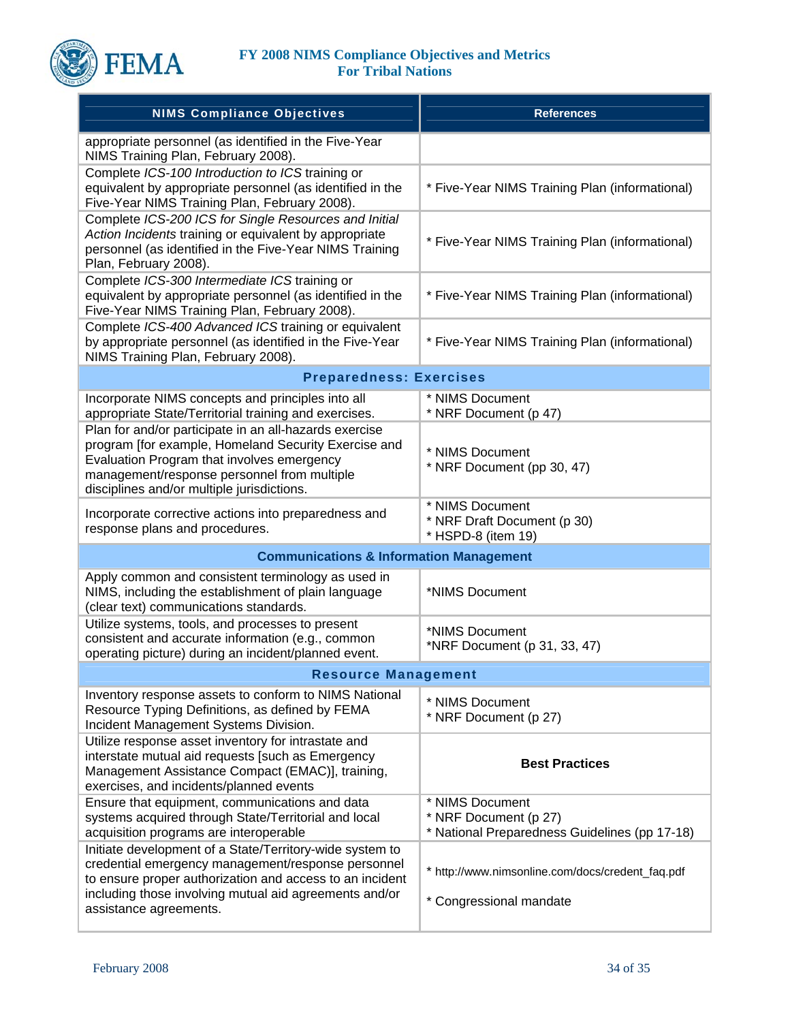

| <b>NIMS Compliance Objectives</b>                                                                                                                                                                                                                         | <b>References</b>                                                                         |
|-----------------------------------------------------------------------------------------------------------------------------------------------------------------------------------------------------------------------------------------------------------|-------------------------------------------------------------------------------------------|
| appropriate personnel (as identified in the Five-Year<br>NIMS Training Plan, February 2008).                                                                                                                                                              |                                                                                           |
| Complete ICS-100 Introduction to ICS training or<br>equivalent by appropriate personnel (as identified in the<br>Five-Year NIMS Training Plan, February 2008).                                                                                            | * Five-Year NIMS Training Plan (informational)                                            |
| Complete ICS-200 ICS for Single Resources and Initial<br>Action Incidents training or equivalent by appropriate<br>personnel (as identified in the Five-Year NIMS Training<br>Plan, February 2008).                                                       | * Five-Year NIMS Training Plan (informational)                                            |
| Complete ICS-300 Intermediate ICS training or<br>equivalent by appropriate personnel (as identified in the<br>Five-Year NIMS Training Plan, February 2008).                                                                                               | * Five-Year NIMS Training Plan (informational)                                            |
| Complete ICS-400 Advanced ICS training or equivalent<br>by appropriate personnel (as identified in the Five-Year<br>NIMS Training Plan, February 2008).                                                                                                   | * Five-Year NIMS Training Plan (informational)                                            |
| <b>Preparedness: Exercises</b>                                                                                                                                                                                                                            |                                                                                           |
| Incorporate NIMS concepts and principles into all<br>appropriate State/Territorial training and exercises.                                                                                                                                                | * NIMS Document<br>* NRF Document (p 47)                                                  |
| Plan for and/or participate in an all-hazards exercise<br>program [for example, Homeland Security Exercise and<br>Evaluation Program that involves emergency<br>management/response personnel from multiple<br>disciplines and/or multiple jurisdictions. | * NIMS Document<br>* NRF Document (pp 30, 47)                                             |
| Incorporate corrective actions into preparedness and<br>response plans and procedures.                                                                                                                                                                    | * NIMS Document<br>* NRF Draft Document (p 30)<br>* HSPD-8 (item 19)                      |
| <b>Communications &amp; Information Management</b>                                                                                                                                                                                                        |                                                                                           |
| Apply common and consistent terminology as used in<br>NIMS, including the establishment of plain language<br>(clear text) communications standards.                                                                                                       | *NIMS Document                                                                            |
| Utilize systems, tools, and processes to present<br>consistent and accurate information (e.g., common<br>operating picture) during an incident/planned event.                                                                                             | *NIMS Document<br>*NRF Document (p 31, 33, 47)                                            |
| <b>Resource Management</b>                                                                                                                                                                                                                                |                                                                                           |
| Inventory response assets to conform to NIMS National<br>Resource Typing Definitions, as defined by FEMA<br>Incident Management Systems Division.                                                                                                         | * NIMS Document<br>* NRF Document (p 27)                                                  |
| Utilize response asset inventory for intrastate and<br>interstate mutual aid requests [such as Emergency<br>Management Assistance Compact (EMAC)], training,<br>exercises, and incidents/planned events                                                   | <b>Best Practices</b>                                                                     |
| Ensure that equipment, communications and data<br>systems acquired through State/Territorial and local<br>acquisition programs are interoperable                                                                                                          | * NIMS Document<br>* NRF Document (p 27)<br>* National Preparedness Guidelines (pp 17-18) |
| Initiate development of a State/Territory-wide system to<br>credential emergency management/response personnel<br>to ensure proper authorization and access to an incident                                                                                | * http://www.nimsonline.com/docs/credent_faq.pdf                                          |
| including those involving mutual aid agreements and/or<br>assistance agreements.                                                                                                                                                                          | * Congressional mandate                                                                   |